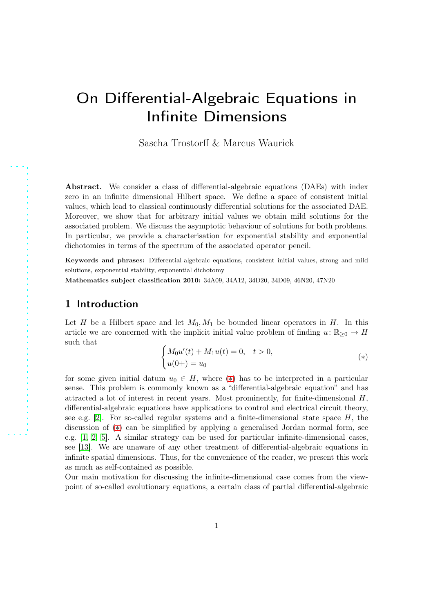# On Differential-Algebraic Equations in Infinite Dimensions

Sascha Trostorff & Marcus Waurick

Abstract. We consider a class of differential-algebraic equations (DAEs) with index zero in an infinite dimensional Hilbert space. We define a space of consistent initial values, which lead to classical continuously differential solutions for the associated DAE. Moreover, we show that for arbitrary initial values we obtain mild solutions for the associated problem. We discuss the asymptotic behaviour of solutions for both problems. In particular, we provide a characterisation for exponential stability and exponential dichotomies in terms of the spectrum of the associated operator pencil.

Keywords and phrases: Differential-algebraic equations, consistent initial values, strong and mild solutions, exponential stability, exponential dichotomy

Mathematics subject classification 2010: 34A09, 34A12, 34D20, 34D09, 46N20, 47N20

## 1 Introduction

Let H be a Hilbert space and let  $M_0, M_1$  be bounded linear operators in H. In this article we are concerned with the implicit initial value problem of finding  $u: \mathbb{R}_{\geq 0} \to H$ such that

<span id="page-0-0"></span>
$$
\begin{cases}\nM_0 u'(t) + M_1 u(t) = 0, & t > 0, \\
u(0+) = u_0\n\end{cases} (*)
$$

for some given initial datum  $u_0 \in H$ , where (\*) has to be interpreted in a particular sense. This problem is commonly known as a "differential-algebraic equation" and has attracted a lot of interest in recent years. Most prominently, for finite-dimensional  $H$ , differential-algebraic equations have applications to control and electrical circuit theory, see e.g.  $[2]$ . For so-called regular systems and a finite-dimensional state space  $H$ , the discussion of ([∗](#page-0-0)) can be simplified by applying a generalised Jordan normal form, see e.g. [\[1,](#page-32-1) [2,](#page-32-0) [5\]](#page-32-2). A similar strategy can be used for particular infinite-dimensional cases, see [\[13\]](#page-33-0). We are unaware of any other treatment of differential-algebraic equations in infinite spatial dimensions. Thus, for the convenience of the reader, we present this work as much as self-contained as possible.

Our main motivation for discussing the infinite-dimensional case comes from the viewpoint of so-called evolutionary equations, a certain class of partial differential-algebraic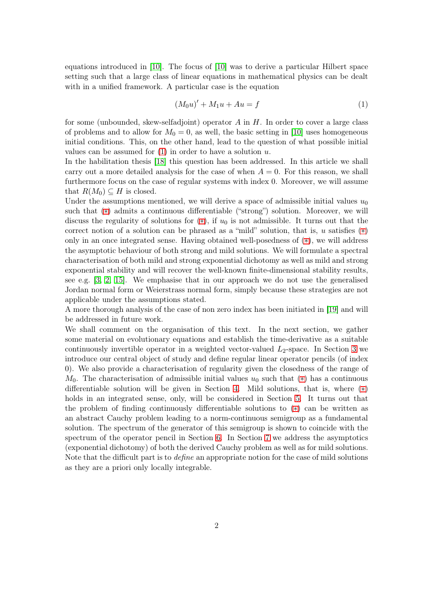equations introduced in [\[10\]](#page-32-3). The focus of [\[10\]](#page-32-3) was to derive a particular Hilbert space setting such that a large class of linear equations in mathematical physics can be dealt with in a unified framework. A particular case is the equation

<span id="page-1-0"></span>
$$
(M_0 u)' + M_1 u + Au = f \tag{1}
$$

for some (unbounded, skew-selfadjoint) operator  $A$  in  $H$ . In order to cover a large class of problems and to allow for  $M_0 = 0$ , as well, the basic setting in [\[10\]](#page-32-3) uses homogeneous initial conditions. This, on the other hand, lead to the question of what possible initial values can be assumed for  $(1)$  in order to have a solution u.

In the habilitation thesis [\[18\]](#page-33-1) this question has been addressed. In this article we shall carry out a more detailed analysis for the case of when  $A = 0$ . For this reason, we shall furthermore focus on the case of regular systems with index 0. Moreover, we will assume that  $R(M_0) \subseteq H$  is closed.

Under the assumptions mentioned, we will derive a space of admissible initial values  $u_0$ such that  $(*)$  admits a continuous differentiable ("strong") solution. Moreover, we will discuss the regularity of solutions for  $(*)$ , if  $u_0$  is not admissible. It turns out that the correct notion of a solution can be phrased as a "mild" solution, that is, u satisfies  $(*)$ only in an once integrated sense. Having obtained well-posedness of ([∗](#page-0-0)), we will address the asymptotic behaviour of both strong and mild solutions. We will formulate a spectral characterisation of both mild and strong exponential dichotomy as well as mild and strong exponential stability and will recover the well-known finite-dimensional stability results, see e.g.  $[3, 2, 15]$  $[3, 2, 15]$  $[3, 2, 15]$ . We emphasise that in our approach we do not use the generalised Jordan normal form or Weierstrass normal form, simply because these strategies are not applicable under the assumptions stated.

A more thorough analysis of the case of non zero index has been initiated in [\[19\]](#page-33-3) and will be addressed in future work.

We shall comment on the organisation of this text. In the next section, we gather some material on evolutionary equations and establish the time-derivative as a suitable continuously invertible operator in a weighted vector-valued  $L_2$ -space. In Section [3](#page-4-0) we introduce our central object of study and define regular linear operator pencils (of index 0). We also provide a characterisation of regularity given the closedness of the range of  $M_0$ . The characterisation of admissible initial values  $u_0$  such that  $(*)$  has a continuous differentiable solution will be given in Section [4.](#page-7-0) Mild solutions, that is, where ([∗](#page-0-0)) holds in an integrated sense, only, will be considered in Section [5.](#page-9-0) It turns out that the problem of finding continuously differentiable solutions to ([∗](#page-0-0)) can be written as an abstract Cauchy problem leading to a norm-continuous semigroup as a fundamental solution. The spectrum of the generator of this semigroup is shown to coincide with the spectrum of the operator pencil in Section [6.](#page-19-0) In Section [7](#page-22-0) we address the asymptotics (exponential dichotomy) of both the derived Cauchy problem as well as for mild solutions. Note that the difficult part is to *define* an appropriate notion for the case of mild solutions as they are a priori only locally integrable.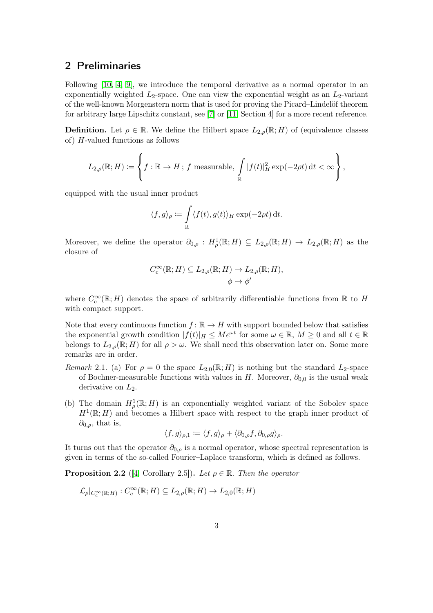#### 2 Preliminaries

Following [\[10,](#page-32-3) [4,](#page-32-5) [9\]](#page-32-6), we introduce the temporal derivative as a normal operator in an exponentially weighted  $L_2$ -space. One can view the exponential weight as an  $L_2$ -variant of the well-known Morgenstern norm that is used for proving the Picard–Lindelöf theorem for arbitrary large Lipschitz constant, see [\[7\]](#page-32-7) or [\[11,](#page-32-8) Section 4] for a more recent reference.

**Definition.** Let  $\rho \in \mathbb{R}$ . We define the Hilbert space  $L_{2,\rho}(\mathbb{R}; H)$  of (equivalence classes of) H-valued functions as follows

$$
L_{2,\rho}(\mathbb{R};H) \coloneqq \left\{ f : \mathbb{R} \to H \, ; \, f \text{ measurable}, \, \int\limits_{\mathbb{R}} |f(t)|^2_H \exp(-2\rho t) \, \mathrm{d}t < \infty \right\},
$$

equipped with the usual inner product

$$
\langle f, g \rangle_{\rho} \coloneqq \int_{\mathbb{R}} \langle f(t), g(t) \rangle_{H} \exp(-2\rho t) dt.
$$

Moreover, we define the operator  $\partial_{0,\rho}: H^1_\rho(\mathbb{R};H) \subseteq L_{2,\rho}(\mathbb{R};H) \to L_{2,\rho}(\mathbb{R};H)$  as the closure of

$$
C_c^{\infty}(\mathbb{R}; H) \subseteq L_{2,\rho}(\mathbb{R}; H) \to L_{2,\rho}(\mathbb{R}; H),
$$
  

$$
\phi \mapsto \phi'
$$

where  $C_c^{\infty}(\mathbb{R}; H)$  denotes the space of arbitrarily differentiable functions from  $\mathbb{R}$  to  $H$ with compact support.

Note that every continuous function  $f: \mathbb{R} \to H$  with support bounded below that satisfies the exponential growth condition  $|f(t)|_H \leq Me^{\omega t}$  for some  $\omega \in \mathbb{R}, M \geq 0$  and all  $t \in \mathbb{R}$ belongs to  $L_{2,\rho}(\mathbb{R};H)$  for all  $\rho > \omega$ . We shall need this observation later on. Some more remarks are in order.

- Remark 2.1. (a) For  $\rho = 0$  the space  $L_{2,0}(\mathbb{R}; H)$  is nothing but the standard  $L_2$ -space of Bochner-measurable functions with values in H. Moreover,  $\partial_{0,0}$  is the usual weak derivative on  $L_2$ .
- (b) The domain  $H^1_\rho(\mathbb{R}; H)$  is an exponentially weighted variant of the Sobolev space  $H^1(\mathbb{R};H)$  and becomes a Hilbert space with respect to the graph inner product of  $\partial_{0,\rho}$ , that is,

$$
\langle f, g \rangle_{\rho,1} := \langle f, g \rangle_{\rho} + \langle \partial_{0,\rho} f, \partial_{0,\rho} g \rangle_{\rho}.
$$

It turns out that the operator  $\partial_{0,\rho}$  is a normal operator, whose spectral representation is given in terms of the so-called Fourier–Laplace transform, which is defined as follows.

<span id="page-2-0"></span>**Proposition 2.2** ([\[4,](#page-32-5) Corollary 2.5]). Let  $\rho \in \mathbb{R}$ . Then the operator

$$
\mathcal{L}_{\rho}|_{C_c^{\infty}(\mathbb{R};H)}: C_c^{\infty}(\mathbb{R};H) \subseteq L_{2,\rho}(\mathbb{R};H) \to L_{2,0}(\mathbb{R};H)
$$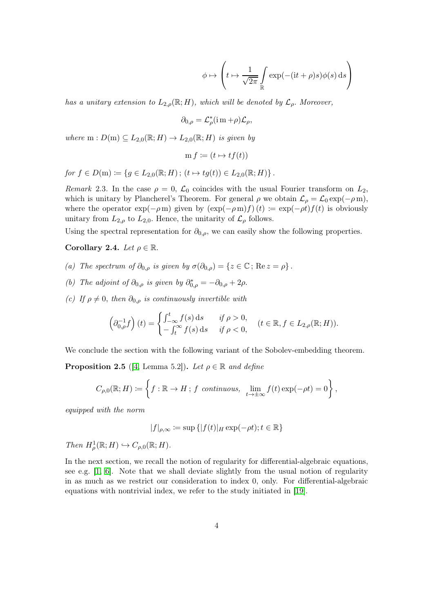$$
\phi \mapsto \left( t \mapsto \frac{1}{\sqrt{2\pi}} \int_{\mathbb{R}} \exp(-(it + \rho)s)\phi(s) \, ds \right)
$$

has a unitary extension to  $L_{2,\rho}(\mathbb{R};H)$ , which will be denoted by  $\mathcal{L}_{\rho}$ . Moreover,

$$
\partial_{0,\rho} = \mathcal{L}^*_{\rho}(\mathrm{im}+\rho)\mathcal{L}_{\rho},
$$

where  $m: D(m) \subseteq L_{2,0}(\mathbb{R};H) \to L_{2,0}(\mathbb{R};H)$  is given by

$$
m f \coloneqq (t \mapsto tf(t))
$$

for 
$$
f \in D(m) \coloneqq \{ g \in L_{2,0}(\mathbb{R}; H) ; (t \mapsto tg(t)) \in L_{2,0}(\mathbb{R}; H) \}.
$$

Remark 2.3. In the case  $\rho = 0$ ,  $\mathcal{L}_0$  coincides with the usual Fourier transform on  $L_2$ , which is unitary by Plancherel's Theorem. For general  $\rho$  we obtain  $\mathcal{L}_{\rho} = \mathcal{L}_0 \exp(-\rho m)$ , where the operator  $\exp(-\rho m)$  given by  $(\exp(-\rho m)f)(t) := \exp(-\rho t)f(t)$  is obviously unitary from  $L_{2,\rho}$  to  $L_{2,0}$ . Hence, the unitarity of  $\mathcal{L}_{\rho}$  follows.

Using the spectral representation for  $\partial_{0,\rho}$ , we can easily show the following properties.

#### <span id="page-3-0"></span>Corollary 2.4. Let  $\rho \in \mathbb{R}$ .

- (a) The spectrum of  $\partial_{0,\rho}$  is given by  $\sigma(\partial_{0,\rho}) = \{z \in \mathbb{C} \,;\, \text{Re}\, z = \rho\}$ .
- (b) The adjoint of  $\partial_{0,\rho}$  is given by  $\partial_{0,\rho}^* = -\partial_{0,\rho} + 2\rho$ .
- (c) If  $\rho \neq 0$ , then  $\partial_{0,\rho}$  is continuously invertible with

$$
\left(\partial_{0,\rho}^{-1}f\right)(t) = \begin{cases} \int_{-\infty}^{t} f(s) \,ds & \text{if } \rho > 0, \\ -\int_{t}^{\infty} f(s) \,ds & \text{if } \rho < 0, \end{cases} \quad (t \in \mathbb{R}, f \in L_{2,\rho}(\mathbb{R}; H)).
$$

We conclude the section with the following variant of the Sobolev-embedding theorem.

<span id="page-3-1"></span>**Proposition 2.5** ([\[4,](#page-32-5) Lemma 5.2]). Let  $\rho \in \mathbb{R}$  and define

$$
C_{\rho,0}(\mathbb{R};H) \coloneqq \left\{ f : \mathbb{R} \to H \, ; \, f \text{ continuous}, \, \lim_{t \to \pm \infty} f(t) \exp(-\rho t) = 0 \right\},\,
$$

equipped with the norm

$$
|f|_{\rho,\infty} \coloneqq \sup\left\{|f(t)|_H\exp(-\rho t); t\in\mathbb{R}\right\}
$$

Then  $H^1_\rho(\mathbb{R};H) \hookrightarrow C_{\rho,0}(\mathbb{R};H)$ .

In the next section, we recall the notion of regularity for differential-algebraic equations, see e.g.  $[1, 6]$  $[1, 6]$ . Note that we shall deviate slightly from the usual notion of regularity in as much as we restrict our consideration to index 0, only. For differential-algebraic equations with nontrivial index, we refer to the study initiated in [\[19\]](#page-33-3).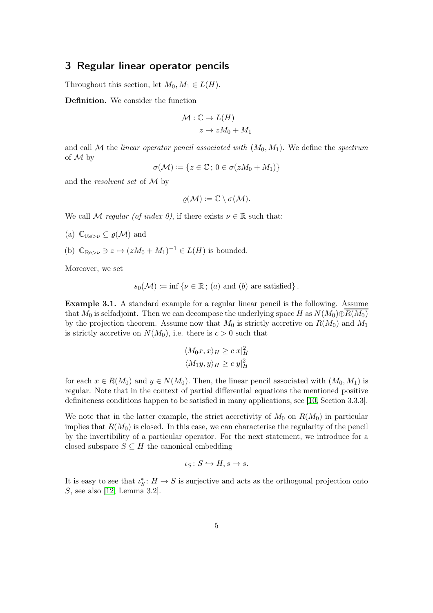#### <span id="page-4-0"></span>3 Regular linear operator pencils

Throughout this section, let  $M_0, M_1 \in L(H)$ .

Definition. We consider the function

$$
\mathcal{M}: \mathbb{C} \to L(H)
$$

$$
z \mapsto zM_0 + M_1
$$

and call M the linear operator pencil associated with  $(M_0, M_1)$ . We define the spectrum of M by

 $\sigma(\mathcal{M}) \coloneqq \{z \in \mathbb{C} \colon 0 \in \sigma(zM_0 + M_1)\}\$ 

and the resolvent set of M by

$$
\varrho({\mathcal{M}})\coloneqq {\mathbb{C}}\setminus \sigma({\mathcal{M}}).
$$

We call M regular (of index 0), if there exists  $\nu \in \mathbb{R}$  such that:

- (a)  $\mathbb{C}_{\text{Re} > \nu} \subseteq \varrho(\mathcal{M})$  and
- (b)  $\mathbb{C}_{\mathrm{Re} > \nu} \ni z \mapsto (zM_0 + M_1)^{-1} \in L(H)$  is bounded.

Moreover, we set

$$
s_0(\mathcal{M}) \coloneqq \inf \{ \nu \in \mathbb{R} \, ; \, (a) \text{ and } (b) \text{ are satisfied} \} \, .
$$

Example 3.1. A standard example for a regular linear pencil is the following. Assume that  $M_0$  is selfadjoint. Then we can decompose the underlying space H as  $N(M_0) \oplus R(M_0)$ by the projection theorem. Assume now that  $M_0$  is strictly accretive on  $R(M_0)$  and  $M_1$ is strictly accretive on  $N(M_0)$ , i.e. there is  $c > 0$  such that

$$
\langle M_0 x, x \rangle_H \ge c |x|_H^2
$$
  

$$
\langle M_1 y, y \rangle_H \ge c |y|_H^2
$$

for each  $x \in R(M_0)$  and  $y \in N(M_0)$ . Then, the linear pencil associated with  $(M_0, M_1)$  is regular. Note that in the context of partial differential equations the mentioned positive definiteness conditions happen to be satisfied in many applications, see [\[10,](#page-32-3) Section 3.3.3].

We note that in the latter example, the strict accretivity of  $M_0$  on  $R(M_0)$  in particular implies that  $R(M_0)$  is closed. In this case, we can characterise the regularity of the pencil by the invertibility of a particular operator. For the next statement, we introduce for a closed subspace  $S \subseteq H$  the canonical embedding

$$
\iota_S \colon S \hookrightarrow H, s \mapsto s.
$$

It is easy to see that  $\iota_S^* : H \to S$  is surjective and acts as the orthogonal projection onto S, see also [\[12,](#page-33-4) Lemma 3.2].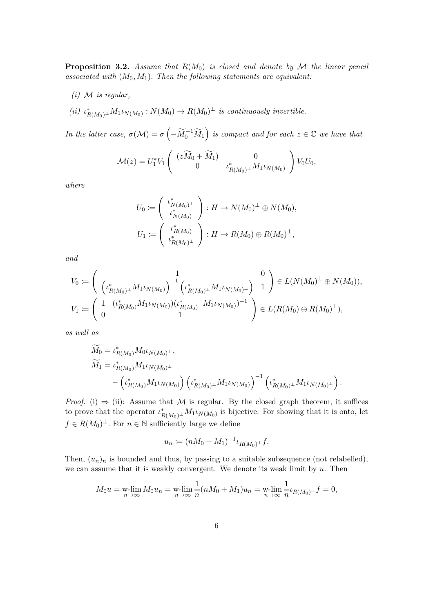<span id="page-5-0"></span>**Proposition 3.2.** Assume that  $R(M_0)$  is closed and denote by M the linear pencil associated with  $(M_0, M_1)$ . Then the following statements are equivalent:

- $(i)$  M is regular,
- (ii)  $\iota_{R(M_0)^{\perp}}^* M_1 \iota_{N(M_0)} : N(M_0) \to R(M_0)^{\perp}$  is continuously invertible.

In the latter case,  $\sigma(\mathcal{M}) = \sigma\left(-\widetilde{M}_0^{-1}\widetilde{M}_1\right)$  is compact and for each  $z \in \mathbb{C}$  we have that

$$
\mathcal{M}(z) = U_1^* V_1 \left( \begin{array}{cc} (z\widetilde{M}_0 + \widetilde{M}_1) & 0 \\ 0 & \iota_{R(M_0)^\perp}^* M_1 \iota_{N(M_0)} \end{array} \right) V_0 U_0,
$$

where

$$
U_0 := \left( \begin{array}{c} \iota_{N(M_0)^{\perp}}^* \\ \iota_{N(M_0)}^* \end{array} \right) : H \to N(M_0)^{\perp} \oplus N(M_0),
$$
  

$$
U_1 := \left( \begin{array}{c} \iota_{R(M_0)}^* \\ \iota_{R(M_0)^{\perp}}^* \end{array} \right) : H \to R(M_0) \oplus R(M_0)^{\perp},
$$

and

$$
V_0 := \begin{pmatrix} 1 & 0 \\ \left(\iota^*_{R(M_0)^{\perp}} M_1 \iota_{N(M_0)}\right)^{-1} \left(\iota^*_{R(M_0)^{\perp}} M_1 \iota_{N(M_0)^{\perp}}\right) & 1 \end{pmatrix} \in L(N(M_0)^{\perp} \oplus N(M_0)),
$$
  

$$
V_1 := \begin{pmatrix} 1 & \left(\iota^*_{R(M_0)} M_1 \iota_{N(M_0)}\right) \left(\iota^*_{R(M_0)^{\perp}} M_1 \iota_{N(M_0)}\right)^{-1} \\ 0 & 1 \end{pmatrix} \in L(R(M_0) \oplus R(M_0)^{\perp}),
$$

as well as

$$
\widetilde{M}_0 = \iota_{R(M_0)}^* M_0 \iota_{N(M_0)^{\perp}},
$$
\n
$$
\widetilde{M}_1 = \iota_{R(M_0)}^* M_1 \iota_{N(M_0)^{\perp}}
$$
\n
$$
- \left( \iota_{R(M_0)}^* M_1 \iota_{N(M_0)} \right) \left( \iota_{R(M_0)^{\perp}}^* M_1 \iota_{N(M_0)} \right)^{-1} \left( \iota_{R(M_0)^{\perp}}^* M_1 \iota_{N(M_0)^{\perp}} \right).
$$

*Proof.* (i)  $\Rightarrow$  (ii): Assume that M is regular. By the closed graph theorem, it suffices to prove that the operator  $\iota^*_{R(M_0)^{\perp}} M_1 \iota_{N(M_0)}$  is bijective. For showing that it is onto, let  $f \in R(M_0)^{\perp}$ . For  $n \in \mathbb{N}$  sufficiently large we define

$$
u_n := (nM_0 + M_1)^{-1} \iota_{R(M_0)^{\perp}} f.
$$

Then,  $(u_n)_n$  is bounded and thus, by passing to a suitable subsequence (not relabelled), we can assume that it is weakly convergent. We denote its weak limit by  $u$ . Then

$$
M_0 u = \mathop{\text{w-lim}}_{n \to \infty} M_0 u_n = \mathop{\text{w-lim}}_{n \to \infty} \frac{1}{n} (n M_0 + M_1) u_n = \mathop{\text{w-lim}}_{n \to \infty} \frac{1}{n} \iota_{R(M_0)^\perp} f = 0,
$$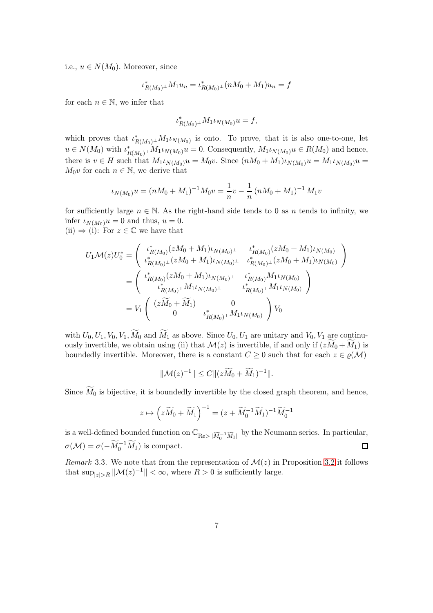i.e.,  $u \in N(M_0)$ . Moreover, since

$$
\iota_{R(M_0)^{\perp}}^* M_1 u_n = \iota_{R(M_0)^{\perp}}^* (nM_0 + M_1) u_n = f
$$

for each  $n \in \mathbb{N}$ , we infer that

$$
\iota_{R(M_0)^{\perp}}^* M_1 \iota_{N(M_0)} u = f,
$$

which proves that  $\iota^*_{R(M_0)^{\perp}} M_1 \iota_{N(M_0)}$  is onto. To prove, that it is also one-to-one, let  $u \in N(M_0)$  with  $\iota_{R(M_0)^{\perp}}^* M_1 \iota_{N(M_0)} u = 0$ . Consequently,  $M_1 \iota_{N(M_0)} u \in R(M_0)$  and hence, there is  $v \in H$  such that  $M_1 \iota_{N(M_0)} u = M_0 v$ . Since  $(nM_0 + M_1) \iota_{N(M_0)} u = M_1 \iota_{N(M_0)} u =$  $M_0v$  for each  $n \in \mathbb{N}$ , we derive that

$$
\iota_{N(M_0)} u = (nM_0 + M_1)^{-1} M_0 v = \frac{1}{n} v - \frac{1}{n} (nM_0 + M_1)^{-1} M_1 v
$$

for sufficiently large  $n \in \mathbb{N}$ . As the right-hand side tends to 0 as n tends to infinity, we infer  $\iota_{N(M_0)}u = 0$  and thus,  $u = 0$ .

(ii)  $\Rightarrow$  (i): For  $z \in \mathbb{C}$  we have that

$$
U_1 \mathcal{M}(z) U_0^* = \begin{pmatrix} \iota_{R(M_0)}^* (zM_0 + M_1) \iota_{N(M_0)^{\perp}} & \iota_{R(M_0)}^* (zM_0 + M_1) \iota_{N(M_0)} \\ \iota_{R(M_0)^{\perp}}^* (zM_0 + M_1) \iota_{N(M_0)^{\perp}} & \iota_{R(M_0)^{\perp}}^* (zM_0 + M_1) \iota_{N(M_0)} \end{pmatrix}
$$
  
= 
$$
\begin{pmatrix} \iota_{R(M_0)}^* (zM_0 + M_1) \iota_{N(M_0)^{\perp}} & \iota_{R(M_0)}^* M_1 \iota_{N(M_0)} \\ \iota_{R(M_0)^{\perp}}^* M_1 \iota_{N(M_0)^{\perp}} & \iota_{R(M_0)^{\perp}}^* M_1 \iota_{N(M_0)} \end{pmatrix}
$$
  
= 
$$
V_1 \begin{pmatrix} (z\widetilde{M}_0 + \widetilde{M}_1) & 0 \\ 0 & \iota_{R(M_0)^{\perp}}^* M_1 \iota_{N(M_0)} \end{pmatrix} V_0
$$

with  $U_0, U_1, V_0, V_1, \widetilde{M}_0$  and  $\widetilde{M}_1$  as above. Since  $U_0, U_1$  are unitary and  $V_0, V_1$  are continuously invertible, we obtain using (ii) that  $\mathcal{M}(z)$  is invertible, if and only if  $(zM_0 + M_1)$  is boundedly invertible. Moreover, there is a constant  $C \geq 0$  such that for each  $z \in \varrho(\mathcal{M})$ 

$$
\|\mathcal{M}(z)^{-1}\| \leq C \|(z\widetilde{M}_0 + \widetilde{M}_1)^{-1}\|.
$$

Since  $\widetilde{M}_0$  is bijective, it is boundedly invertible by the closed graph theorem, and hence,

$$
z \mapsto \left(z\widetilde{M}_0 + \widetilde{M}_1\right)^{-1} = (z + \widetilde{M}_0^{-1}\widetilde{M}_1)^{-1}\widetilde{M}_0^{-1}
$$

is a well-defined bounded function on  $\mathbb{C}_{\mathsf{Re}> \|\widetilde{M}_0^{-1} \widetilde{M}_1\|}$  by the Neumann series. In particular,  $\sigma(\mathcal{M}) = \sigma(-\widetilde{M}_0^{-1}\widetilde{M}_1)$  is compact.  $\Box$ 

Remark 3.3. We note that from the representation of  $\mathcal{M}(z)$  in Proposition [3.2](#page-5-0) it follows that  $\sup_{|z|>R} ||\mathcal{M}(z)^{-1}|| < \infty$ , where  $R > 0$  is sufficiently large.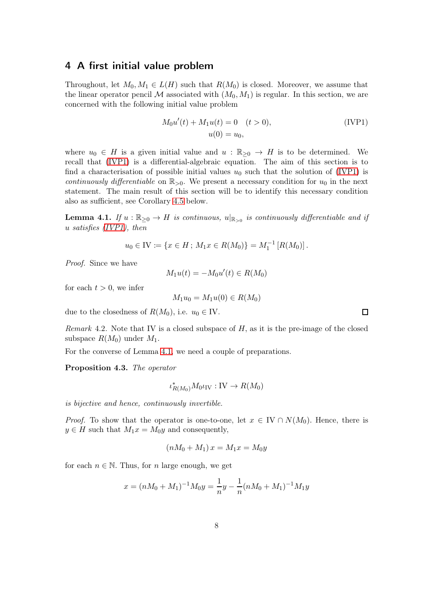#### <span id="page-7-0"></span>4 A first initial value problem

Throughout, let  $M_0, M_1 \in L(H)$  such that  $R(M_0)$  is closed. Moreover, we assume that the linear operator pencil  $\mathcal M$  associated with  $(M_0, M_1)$  is regular. In this section, we are concerned with the following initial value problem

<span id="page-7-1"></span>
$$
M_0 u'(t) + M_1 u(t) = 0 \quad (t > 0),
$$
 (IVP1)  

$$
u(0) = u_0,
$$

where  $u_0 \in H$  is a given initial value and  $u : \mathbb{R}_{\geq 0} \to H$  is to be determined. We recall that [\(IVP1\)](#page-7-1) is a differential-algebraic equation. The aim of this section is to find a characterisation of possible initial values  $u_0$  such that the solution of [\(IVP1\)](#page-7-1) is continuously differentiable on  $\mathbb{R}_{>0}$ . We present a necessary condition for  $u_0$  in the next statement. The main result of this section will be to identify this necessary condition also as sufficient, see Corollary [4.5](#page-8-0) below.

<span id="page-7-2"></span>**Lemma 4.1.** If  $u : \mathbb{R}_{\geq 0} \to H$  is continuous,  $u|_{\mathbb{R}_{> 0}}$  is continuously differentiable and if u satisfies [\(IVP1\)](#page-7-1), then

$$
u_0 \in \text{IV} \coloneqq \{x \in H \,;\, M_1x \in R(M_0)\} = M_1^{-1} [R(M_0)].
$$

Proof. Since we have

$$
M_1u(t)=-M_0u'(t)\in R(M_0)
$$

for each  $t > 0$ , we infer

$$
M_1 u_0 = M_1 u(0) \in R(M_0)
$$

due to the closedness of  $R(M_0)$ , i.e.  $u_0 \in \mathbb{IV}$ .

*Remark* 4.2. Note that IV is a closed subspace of  $H$ , as it is the pre-image of the closed subspace  $R(M_0)$  under  $M_1$ .

For the converse of Lemma [4.1,](#page-7-2) we need a couple of preparations.

<span id="page-7-3"></span>Proposition 4.3. The operator

$$
\iota_{R(M_0)}^* M_0 \iota_{\rm IV} : {\rm IV} \to R(M_0)
$$

is bijective and hence, continuously invertible.

*Proof.* To show that the operator is one-to-one, let  $x \in IV \cap N(M_0)$ . Hence, there is  $y \in H$  such that  $M_1x = M_0y$  and consequently,

$$
(nM_0 + M_1)x = M_1x = M_0y
$$

for each  $n \in \mathbb{N}$ . Thus, for n large enough, we get

$$
x = (nM_0 + M_1)^{-1}M_0y = \frac{1}{n}y - \frac{1}{n}(nM_0 + M_1)^{-1}M_1y
$$

 $\Box$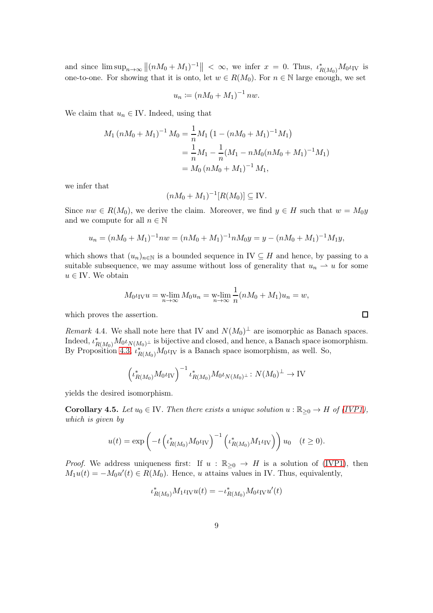and since  $\limsup_{n\to\infty}$   $\|(nM_0+M_1)^{-1}\| < \infty$ , we infer  $x = 0$ . Thus,  $\iota_{R(M_0)}^*M_0\iota_{\text{IV}}$  is one-to-one. For showing that it is onto, let  $w \in R(M_0)$ . For  $n \in \mathbb{N}$  large enough, we set

$$
u_n := (nM_0 + M_1)^{-1} \, n w.
$$

We claim that  $u_n \in \mathbb{I}$ . Indeed, using that

$$
M_1 (nM_0 + M_1)^{-1} M_0 = \frac{1}{n} M_1 (1 - (nM_0 + M_1)^{-1} M_1)
$$
  
= 
$$
\frac{1}{n} M_1 - \frac{1}{n} (M_1 - nM_0 (nM_0 + M_1)^{-1} M_1)
$$
  
= 
$$
M_0 (nM_0 + M_1)^{-1} M_1,
$$

we infer that

$$
(nM_0 + M_1)^{-1}[R(M_0)] \subseteq \text{IV}.
$$

Since  $nw \in R(M_0)$ , we derive the claim. Moreover, we find  $y \in H$  such that  $w = M_0y$ and we compute for all  $n \in \mathbb{N}$ 

$$
u_n = (nM_0 + M_1)^{-1}nw = (nM_0 + M_1)^{-1}nM_0y = y - (nM_0 + M_1)^{-1}M_1y,
$$

which shows that  $(u_n)_{n\in\mathbb{N}}$  is a bounded sequence in IV  $\subseteq H$  and hence, by passing to a suitable subsequence, we may assume without loss of generality that  $u_n \rightharpoonup u$  for some  $u \in \text{IV}$ . We obtain

$$
M_0 \iota_{\text{IV}} u = \mathop{\text{w-lim}}_{n \to \infty} M_0 u_n = \mathop{\text{w-lim}}_{n \to \infty} \frac{1}{n} (n M_0 + M_1) u_n = w,
$$

which proves the assertion.

<span id="page-8-1"></span>Remark 4.4. We shall note here that IV and  $N(M_0)^{\perp}$  are isomorphic as Banach spaces. Indeed,  $\iota_{R(M_0)}^* M_0 \iota_{N(M_0)^{\perp}}$  is bijective and closed, and hence, a Banach space isomorphism. By Proposition [4.3,](#page-7-3)  $\iota_{R(M_0)}^* M_0 \iota_{IV}$  is a Banach space isomorphism, as well. So,

$$
\left(\iota_{R(M_0)}^* M_0 \iota_{\text{IV}}\right)^{-1} \iota_{R(M_0)}^* M_0 \iota_{N(M_0)^{\perp}} : N(M_0)^{\perp} \to \text{IV}
$$

yields the desired isomorphism.

<span id="page-8-0"></span>**Corollary 4.5.** Let  $u_0 \in W$ . Then there exists a unique solution  $u : \mathbb{R}_{\geq 0} \to H$  of [\(IVP1\)](#page-7-1), which is given by

$$
u(t) = \exp\left(-t \left(\iota_{R(M_0)}^* M_0 \iota_{\text{IV}}\right)^{-1} \left(\iota_{R(M_0)}^* M_1 \iota_{\text{IV}}\right)\right) u_0 \quad (t \ge 0).
$$

*Proof.* We address uniqueness first: If  $u : \mathbb{R}_{\geq 0} \to H$  is a solution of [\(IVP1\)](#page-7-1), then  $M_1u(t) = -M_0u'(t) \in R(M_0)$ . Hence, u attains values in IV. Thus, equivalently,

$$
\iota^*_{R(M_0)} M_1 \iota_{\rm IV} u(t) = -\iota^*_{R(M_0)} M_0 \iota_{\rm IV} u'(t)
$$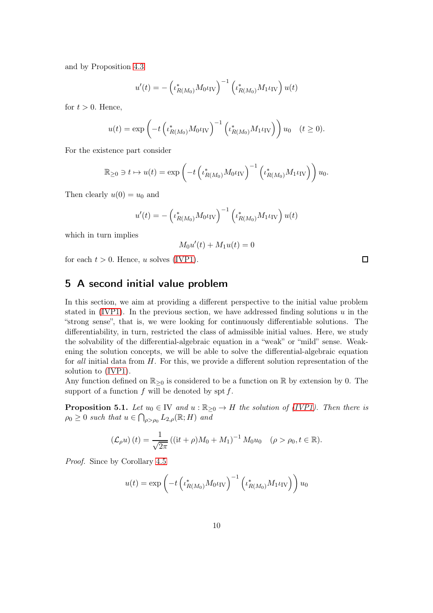and by Proposition [4.3](#page-7-3)

$$
u'(t) = -\left(\iota_{R(M_0)}^* M_0 \iota_{\text{IV}}\right)^{-1} \left(\iota_{R(M_0)}^* M_1 \iota_{\text{IV}}\right) u(t)
$$

for  $t > 0$ . Hence,

$$
u(t) = \exp\left(-t \left(\iota_{R(M_0)}^* M_0 \iota_{\text{IV}}\right)^{-1} \left(\iota_{R(M_0)}^* M_1 \iota_{\text{IV}}\right)\right) u_0 \quad (t \ge 0).
$$

For the existence part consider

$$
\mathbb{R}_{\geq 0} \ni t \mapsto u(t) = \exp\left(-t \left(\iota^*_{R(M_0)} M_0 \iota_{\text{IV}}\right)^{-1} \left(\iota^*_{R(M_0)} M_1 \iota_{\text{IV}}\right)\right) u_0.
$$

Then clearly  $u(0) = u_0$  and

$$
u'(t) = -\left(\iota_{R(M_0)}^* M_0 \iota_{\text{IV}}\right)^{-1} \left(\iota_{R(M_0)}^* M_1 \iota_{\text{IV}}\right) u(t)
$$

which in turn implies

$$
M_0u'(t) + M_1u(t) = 0
$$

for each  $t > 0$ . Hence, u solves [\(IVP1\)](#page-7-1).

## <span id="page-9-0"></span>5 A second initial value problem

In this section, we aim at providing a different perspective to the initial value problem stated in [\(IVP1\)](#page-7-1). In the previous section, we have addressed finding solutions  $u$  in the "strong sense", that is, we were looking for continuously differentiable solutions. The differentiability, in turn, restricted the class of admissible initial values. Here, we study the solvability of the differential-algebraic equation in a "weak" or "mild" sense. Weakening the solution concepts, we will be able to solve the differential-algebraic equation for all initial data from H. For this, we provide a different solution representation of the solution to [\(IVP1\)](#page-7-1).

Any function defined on  $\mathbb{R}_{\geq 0}$  is considered to be a function on  $\mathbb{R}$  by extension by 0. The support of a function  $f$  will be denoted by spt  $f$ .

<span id="page-9-1"></span>**Proposition 5.1.** Let  $u_0 \in \mathbb{IV}$  and  $u : \mathbb{R}_{\geq 0} \to H$  the solution of [\(IVP1\)](#page-7-1). Then there is  $\rho_0 \geq 0$  such that  $u \in \bigcap_{\rho > \rho_0} L_{2,\rho}(\mathbb{R}; H)$  and

$$
(\mathcal{L}_{\rho}u)(t) = \frac{1}{\sqrt{2\pi}} ((\mathrm{i}t + \rho)M_0 + M_1)^{-1} M_0 u_0 \quad (\rho > \rho_0, t \in \mathbb{R}).
$$

Proof. Since by Corollary [4.5](#page-8-0)

$$
u(t) = \exp\left(-t \left(\iota^*_{R(M_0)} M_0 \iota_{\text{IV}}\right)^{-1} \left(\iota^*_{R(M_0)} M_1 \iota_{\text{IV}}\right)\right) u_0
$$

 $\Box$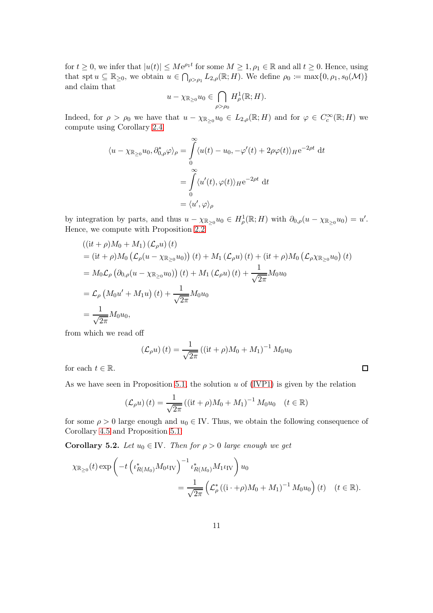for  $t \geq 0$ , we infer that  $|u(t)| \leq Me^{\rho_1 t}$  for some  $M \geq 1, \rho_1 \in \mathbb{R}$  and all  $t \geq 0$ . Hence, using that spt  $u \subseteq \mathbb{R}_{\geq 0}$ , we obtain  $u \in \bigcap_{\rho > \rho_1} L_{2,\rho}(\mathbb{R}; H)$ . We define  $\rho_0 := \max\{0, \rho_1, s_0(\mathcal{M})\}$ and claim that

$$
u - \chi_{\mathbb{R}_{\geq 0}} u_0 \in \bigcap_{\rho > \rho_0} H^1_{\rho}(\mathbb{R}; H).
$$

Indeed, for  $\rho > \rho_0$  we have that  $u - \chi_{\mathbb{R}_{\geq 0}} u_0 \in L_{2,\rho}(\mathbb{R}; H)$  and for  $\varphi \in C_c^{\infty}(\mathbb{R}; H)$  we compute using Corollary [2.4](#page-3-0)

$$
\langle u - \chi_{\mathbb{R}_{\geq 0}} u_0, \partial_{0,\rho}^* \varphi \rangle_{\rho} = \int_0^{\infty} \langle u(t) - u_0, -\varphi'(t) + 2\rho \varphi(t) \rangle_{H} e^{-2\rho t} dt
$$
  

$$
= \int_0^{\infty} \langle u'(t), \varphi(t) \rangle_{H} e^{-2\rho t} dt
$$
  

$$
= \langle u', \varphi \rangle_{\rho}
$$

by integration by parts, and thus  $u - \chi_{\mathbb{R}_{\geq 0}} u_0 \in H^1_\rho(\mathbb{R}; H)$  with  $\partial_{0,\rho}(u - \chi_{\mathbb{R}_{\geq 0}} u_0) = u'.$ Hence, we compute with Proposition [2.2](#page-2-0)

$$
((\mathrm{i}t + \rho)M_0 + M_1) (\mathcal{L}_{\rho}u) (t)
$$
  
=  $(\mathrm{i}t + \rho)M_0 (\mathcal{L}_{\rho}(u - \chi_{\mathbb{R}_{\geq 0}} u_0)) (t) + M_1 (\mathcal{L}_{\rho}u) (t) + (\mathrm{i}t + \rho)M_0 (\mathcal{L}_{\rho} \chi_{\mathbb{R}_{\geq 0}} u_0) (t)$   
=  $M_0 \mathcal{L}_{\rho} (\partial_{0,\rho}(u - \chi_{\mathbb{R}_{\geq 0}} u_0)) (t) + M_1 (\mathcal{L}_{\rho}u) (t) + \frac{1}{\sqrt{2\pi}} M_0 u_0$   
=  $\mathcal{L}_{\rho} (M_0 u' + M_1 u) (t) + \frac{1}{\sqrt{2\pi}} M_0 u_0$   
=  $\frac{1}{\sqrt{2\pi}} M_0 u_0$ ,

from which we read off

$$
(\mathcal{L}_{\rho}u)(t) = \frac{1}{\sqrt{2\pi}} ((\mathrm{i}t + \rho)M_0 + M_1)^{-1} M_0 u_0
$$

 $\Box$ 

for each  $t \in \mathbb{R}$ .

As we have seen in Proposition [5.1,](#page-9-1) the solution  $u$  of [\(IVP1\)](#page-7-1) is given by the relation

$$
(\mathcal{L}_{\rho}u)(t) = \frac{1}{\sqrt{2\pi}} ((\mathrm{i}t + \rho)M_0 + M_1)^{-1} M_0 u_0 \quad (t \in \mathbb{R})
$$

for some  $\rho > 0$  large enough and  $u_0 \in \mathbb{I}$ . Thus, we obtain the following consequence of Corollary [4.5](#page-8-0) and Proposition [5.1:](#page-9-1)

<span id="page-10-0"></span>**Corollary 5.2.** Let  $u_0 \in \mathbb{N}$ . Then for  $\rho > 0$  large enough we get

$$
\chi_{\mathbb{R}_{\geq 0}}(t) \exp\left(-t \left(\iota_{R(M_0)}^* M_0 \iota_{\text{IV}}\right)^{-1} \iota_{R(M_0)}^* M_1 \iota_{\text{IV}}\right) u_0
$$
  
= 
$$
\frac{1}{\sqrt{2\pi}} \left(\mathcal{L}_\rho^* ((i + \rho)M_0 + M_1)^{-1} M_0 u_0\right) (t) \quad (t \in \mathbb{R}).
$$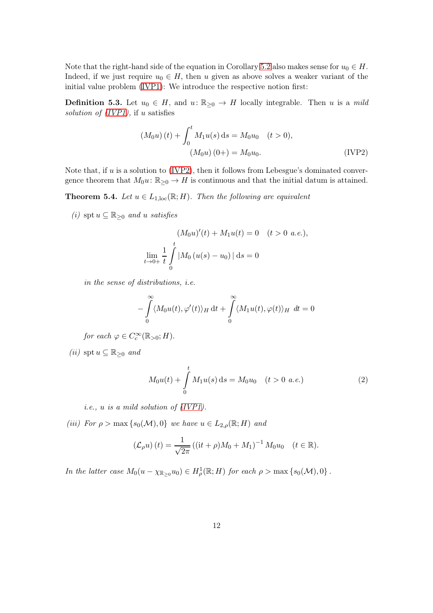Note that the right-hand side of the equation in Corollary [5.2](#page-10-0) also makes sense for  $u_0 \in H$ . Indeed, if we just require  $u_0 \in H$ , then u given as above solves a weaker variant of the initial value problem [\(IVP1\)](#page-7-1): We introduce the respective notion first:

**Definition 5.3.** Let  $u_0 \in H$ , and  $u: \mathbb{R}_{\geq 0} \to H$  locally integrable. Then u is a mild solution of  $(IVP1)$ , if u satisfies

<span id="page-11-0"></span>
$$
(M_0u)(t) + \int_0^t M_1 u(s) ds = M_0 u_0 \quad (t > 0),
$$
  

$$
(M_0u)(0+) = M_0 u_0.
$$
 (IVP2)

Note that, if  $u$  is a solution to [\(IVP2\)](#page-11-0), then it follows from Lebesgue's dominated convergence theorem that  $M_0u: \mathbb{R}_{\geq 0} \to H$  is continuous and that the initial datum is attained.

<span id="page-11-1"></span>**Theorem 5.4.** Let  $u \in L_{1,loc}(\mathbb{R}; H)$ . Then the following are equivalent

(i) spt  $u \subseteq \mathbb{R}_{\geq 0}$  and u satisfies

$$
(M_0u)'(t) + M_1u(t) = 0 \quad (t > 0 \text{ a.e.}),
$$
  

$$
\lim_{t \to 0+} \frac{1}{t} \int_0^t |M_0(u(s) - u_0)| ds = 0
$$

in the sense of distributions, i.e.

$$
-\int_{0}^{\infty} \langle M_0 u(t), \varphi'(t) \rangle_H dt + \int_{0}^{\infty} \langle M_1 u(t), \varphi(t) \rangle_H dt = 0
$$

for each  $\varphi \in C_c^{\infty}(\mathbb{R}_{>0}; H)$ .

(ii) spt  $u \subseteq \mathbb{R}_{\geq 0}$  and

<span id="page-11-2"></span>
$$
M_0 u(t) + \int_0^t M_1 u(s) ds = M_0 u_0 \quad (t > 0 \ a.e.)
$$
 (2)

i.e., u is a mild solution of [\(IVP1\)](#page-7-1).

(iii) For  $\rho > \max\{s_0(\mathcal{M}), 0\}$  we have  $u \in L_{2,\rho}(\mathbb{R}; H)$  and

$$
(\mathcal{L}_{\rho}u)(t) = \frac{1}{\sqrt{2\pi}} ((\mathrm{i}t + \rho)M_0 + M_1)^{-1} M_0 u_0 \quad (t \in \mathbb{R}).
$$

In the latter case  $M_0(u - \chi_{\mathbb{R}_{\geq 0}} u_0) \in H^1_\rho(\mathbb{R}; H)$  for each  $\rho > \max\{s_0(\mathcal{M}), 0\}$ .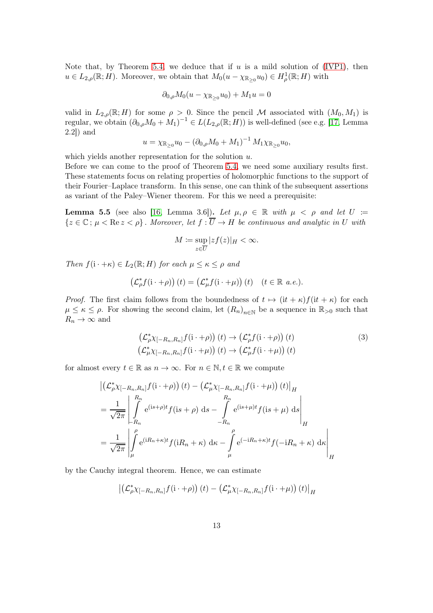Note that, by Theorem [5.4,](#page-11-1) we deduce that if  $u$  is a mild solution of [\(IVP1\)](#page-7-1), then  $u \in L_{2,\rho}(\mathbb{R}; H)$ . Moreover, we obtain that  $M_0(u - \chi_{\mathbb{R}_{\geq 0}} u_0) \in H^1_\rho(\mathbb{R}; H)$  with

$$
\partial_{0,\rho}M_0(u-\chi_{\mathbb{R}_{\geq 0}}u_0)+M_1u=0
$$

valid in  $L_{2,\rho}(\mathbb{R};H)$  for some  $\rho > 0$ . Since the pencil M associated with  $(M_0, M_1)$  is regular, we obtain  $(\partial_{0,\rho}M_0 + M_1)^{-1} \in L(L_{2,\rho}(\mathbb{R};H))$  is well-defined (see e.g. [\[17,](#page-33-5) Lemma 2.2]) and

$$
u = \chi_{\mathbb{R}_{\geq 0}} u_0 - (\partial_{0,\rho} M_0 + M_1)^{-1} M_1 \chi_{\mathbb{R}_{\geq 0}} u_0,
$$

which yields another representation for the solution  $u$ .

Before we can come to the proof of Theorem [5.4,](#page-11-1) we need some auxiliary results first. These statements focus on relating properties of holomorphic functions to the support of their Fourier–Laplace transform. In this sense, one can think of the subsequent assertions as variant of the Paley–Wiener theorem. For this we need a prerequisite:

<span id="page-12-1"></span>Lemma 5.5 (see also [\[16,](#page-33-6) Lemma 3.6]). Let  $\mu, \rho \in \mathbb{R}$  with  $\mu < \rho$  and let  $U :=$  ${z \in \mathbb{C} : \mu < \text{Re}\,z < \rho}$ . Moreover, let  $f : \overline{U} \to H$  be continuous and analytic in U with

<span id="page-12-0"></span>
$$
M := \sup_{z \in \overline{U}} |zf(z)|_H < \infty.
$$

Then  $f(i \cdot + \kappa) \in L_2(\mathbb{R}; H)$  for each  $\mu \leq \kappa \leq \rho$  and

$$
\left(\mathcal{L}_{\rho}^* f(\mathbf{i} \cdot + \rho)\right)(t) = \left(\mathcal{L}_{\mu}^* f(\mathbf{i} \cdot + \mu)\right)(t) \quad (t \in \mathbb{R} \ a.e.).
$$

*Proof.* The first claim follows from the boundedness of  $t \mapsto (it + \kappa)f(it + \kappa)$  for each  $\mu \leq \kappa \leq \rho$ . For showing the second claim, let  $(R_n)_{n\in\mathbb{N}}$  be a sequence in  $\mathbb{R}_{>0}$  such that  $R_n \rightarrow \infty$  and

$$
\begin{aligned} \left(\mathcal{L}_{\rho}^{*}\chi_{[-R_{n},R_{n}]}f(\mathbf{i}\cdot+\rho)\right)(t) &\to \left(\mathcal{L}_{\rho}^{*}f(\mathbf{i}\cdot+\rho)\right)(t) \\ \left(\mathcal{L}_{\mu}^{*}\chi_{[-R_{n},R_{n}]}f(\mathbf{i}\cdot+\mu)\right)(t) &\to \left(\mathcal{L}_{\mu}^{*}f(\mathbf{i}\cdot+\mu)\right)(t) \end{aligned} \tag{3}
$$

for almost every  $t \in \mathbb{R}$  as  $n \to \infty$ . For  $n \in \mathbb{N}, t \in \mathbb{R}$  we compute

$$
\left| \left( \mathcal{L}_{\rho}^{*} \chi_{[-R_{n},R_{n}]} f(i \cdot + \rho) \right) (t) - \left( \mathcal{L}_{\mu}^{*} \chi_{[-R_{n},R_{n}]} f(i \cdot + \mu) \right) (t) \right|_{H}
$$
  
\n
$$
= \frac{1}{\sqrt{2\pi}} \left| \int_{-R_{n}}^{R_{n}} e^{(is+\rho)t} f(is+\rho) ds - \int_{-R_{n}}^{R_{n}} e^{(is+\mu)t} f(is+\mu) ds \right|_{H}
$$
  
\n
$$
= \frac{1}{\sqrt{2\pi}} \left| \int_{\mu}^{\rho} e^{(iR_{n}+\kappa)t} f(iR_{n}+\kappa) ds - \int_{\mu}^{\rho} e^{(-iR_{n}+\kappa)t} f(-iR_{n}+\kappa) ds \right|_{H}
$$

by the Cauchy integral theorem. Hence, we can estimate

$$
\left| \left( \mathcal{L}_{\rho}^{*} \chi_{[-R_{n}, R_{n}]} f(i \cdot + \rho) \right) (t) - \left( \mathcal{L}_{\mu}^{*} \chi_{[-R_{n}, R_{n}]} f(i \cdot + \mu) \right) (t) \right|_{H}
$$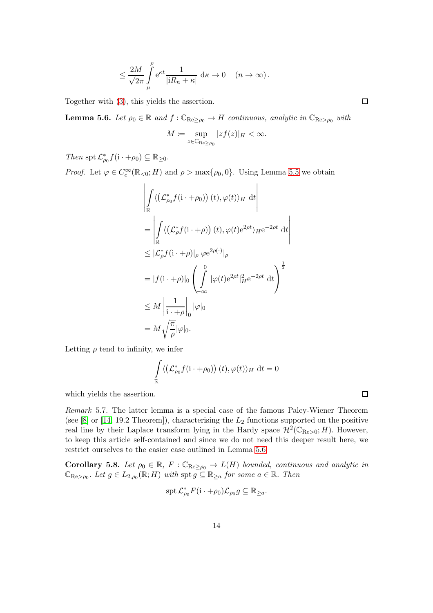$$
\leq \frac{2M}{\sqrt{2\pi}} \int_{\mu}^{\rho} e^{\kappa t} \frac{1}{|\mathbf{i}R_n + \kappa|} \, \mathrm{d}\kappa \to 0 \quad (n \to \infty) \, .
$$

Together with [\(3\)](#page-12-0), this yields the assertion.

<span id="page-13-0"></span>**Lemma 5.6.** Let  $\rho_0 \in \mathbb{R}$  and  $f : \mathbb{C}_{\text{Re} > \rho_0} \to H$  continuous, analytic in  $\mathbb{C}_{\text{Re} > \rho_0}$  with

$$
M \coloneqq \sup_{z \in \mathbb{C}_{\mathrm{Re} \ge \rho_0}} |zf(z)|_H < \infty.
$$

Then spt  $\mathcal{L}_{\rho_0}^* f(i \cdot + \rho_0) \subseteq \mathbb{R}_{\geq 0}$ .

*Proof.* Let  $\varphi \in C_c^{\infty}(\mathbb{R}_{<0}; H)$  and  $\rho > \max\{\rho_0, 0\}$ . Using Lemma [5.5](#page-12-1) we obtain

$$
\left| \int_{\mathbb{R}} \langle (\mathcal{L}_{\rho_0}^* f(i \cdot + \rho_0)) (t), \varphi(t) \rangle_H dt \right|
$$
\n
$$
= \left| \int_{\mathbb{R}} \langle (\mathcal{L}_{\rho}^* f(i \cdot + \rho)) (t), \varphi(t) e^{2\rho t} \rangle_H e^{-2\rho t} dt \right|
$$
\n
$$
\leq |\mathcal{L}_{\rho}^* f(i \cdot + \rho)|_{\rho} |\varphi e^{2\rho(\cdot)}|_{\rho}
$$
\n
$$
= |f(i \cdot + \rho)|_{0} \left( \int_{-\infty}^{0} |\varphi(t) e^{2\rho t}|_{H}^{2} e^{-2\rho t} dt \right)^{\frac{1}{2}}
$$
\n
$$
\leq M \left| \frac{1}{i \cdot + \rho} \right|_{0} |\varphi|_{0}
$$
\n
$$
= M \sqrt{\frac{\pi}{\rho}} |\varphi|_{0}.
$$

Letting  $\rho$  tend to infinity, we infer

$$
\int_{\mathbb{R}} \langle \left( \mathcal{L}_{\rho_0}^* f(i \cdot + \rho_0) \right) (t), \varphi(t) \rangle_H \, dt = 0
$$

which yields the assertion.

Remark 5.7. The latter lemma is a special case of the famous Paley-Wiener Theorem (see  $[8]$  or  $[14, 19.2$  Theorem]), characterising the  $L_2$  functions supported on the positive real line by their Laplace transform lying in the Hardy space  $\mathcal{H}^2(\mathbb{C}_{\mathrm{Re}>0};H)$ . However, to keep this article self-contained and since we do not need this deeper result here, we restrict ourselves to the easier case outlined in Lemma [5.6.](#page-13-0)

<span id="page-13-1"></span>Corollary 5.8. Let  $\rho_0 \in \mathbb{R}$ ,  $F : \mathbb{C}_{\text{Re}\geq\rho_0} \to L(H)$  bounded, continuous and analytic in  $\mathbb{C}_{\mathrm{Re} > \rho_0}$ . Let  $g \in L_{2,\rho_0}(\mathbb{R}; H)$  with  $\operatorname{spt} g \subseteq \mathbb{R}_{\geq a}$  for some  $a \in \mathbb{R}$ . Then

$$
\operatorname{spt} {\mathcal L}_{\rho_0}^* F(i \cdot + \rho_0) {\mathcal L}_{\rho_0} g \subseteq {\mathbb R}_{\geq a}.
$$

 $\Box$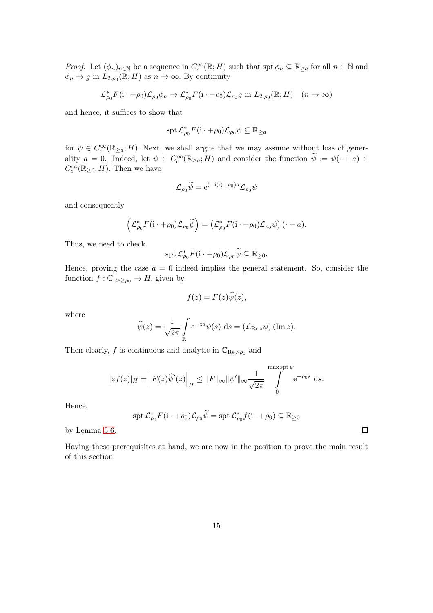*Proof.* Let  $(\phi_n)_{n\in\mathbb{N}}$  be a sequence in  $C_c^{\infty}(\mathbb{R}; H)$  such that  $\text{spt } \phi_n \subseteq \mathbb{R}_{\geq a}$  for all  $n \in \mathbb{N}$  and  $\phi_n \to g$  in  $L_{2,\rho_0}(\mathbb{R};H)$  as  $n \to \infty$ . By continuity

$$
\mathcal{L}_{\rho_0}^* F(\mathbf{i} \cdot + \rho_0) \mathcal{L}_{\rho_0} \phi_n \to \mathcal{L}_{\rho_0}^* F(\mathbf{i} \cdot + \rho_0) \mathcal{L}_{\rho_0} g \text{ in } L_{2,\rho_0}(\mathbb{R}; H) \quad (n \to \infty)
$$

and hence, it suffices to show that

$$
\operatorname{spt} {\mathcal L}_{\rho_0}^*F({\rm i} \cdot + \rho_0){\mathcal L}_{\rho_0}\psi \subseteq {\mathbb R}_{\geq a}
$$

for  $\psi \in C_c^{\infty}(\mathbb{R}_{\geq a}; H)$ . Next, we shall argue that we may assume without loss of generality  $a = 0$ . Indeed, let  $\psi \in C_c^{\infty}(\mathbb{R}_{\geq a}; H)$  and consider the function  $\widetilde{\psi} := \psi(\cdot + a) \in$  $C_c^{\infty}(\mathbb{R}_{\geq 0};H)$ . Then we have

$$
\mathcal{L}_{\rho_0}\widetilde{\psi} = e^{(-i(\cdot)+\rho_0)a}\mathcal{L}_{\rho_0}\psi
$$

and consequently

$$
\left(\mathcal{L}_{\rho_0}^*F(\mathbf{i} \cdot + \rho_0)\mathcal{L}_{\rho_0}\widetilde{\psi}\right) = \left(\mathcal{L}_{\rho_0}^*F(\mathbf{i} \cdot + \rho_0)\mathcal{L}_{\rho_0}\psi\right)(\cdot + a).
$$

Thus, we need to check

$$
\operatorname{spt} {\mathcal L}_{\rho_0}^* F(\mathbf{i} \cdot + \rho_0) {\mathcal L}_{\rho_0} \widetilde{\psi} \subseteq \mathbb{R}_{\geq 0}.
$$

Hence, proving the case  $a = 0$  indeed implies the general statement. So, consider the function  $f : \mathbb{C}_{\mathrm{Re}\geq\rho_0} \to H$ , given by

$$
f(z) = F(z)\widehat{\psi}(z),
$$

where

$$
\widehat{\psi}(z) = \frac{1}{\sqrt{2\pi}} \int_{\mathbb{R}} e^{-zs} \psi(s) ds = (\mathcal{L}_{\text{Re } z} \psi) (\text{Im } z).
$$

Then clearly, f is continuous and analytic in  $\mathbb{C}_{\text{Re} > \rho_0}$  and

$$
|zf(z)|_H = \left| F(z)\widehat{\psi}'(z) \right|_H \leq \|F\|_{\infty} \|\psi'\|_{\infty} \frac{1}{\sqrt{2\pi}} \int_{0}^{\max \operatorname{spt} \psi} e^{-\rho_0 s} \, ds.
$$

Hence,

$$
\operatorname{spt} \mathcal{L}_{\rho_0}^* F(\mathbf{i} \cdot + \rho_0) \mathcal{L}_{\rho_0} \widetilde{\psi} = \operatorname{spt} \mathcal{L}_{\rho_0}^* f(\mathbf{i} \cdot + \rho_0) \subseteq \mathbb{R}_{\geq 0}
$$

by Lemma [5.6.](#page-13-0)

Having these prerequisites at hand, we are now in the position to prove the main result of this section.

 $\Box$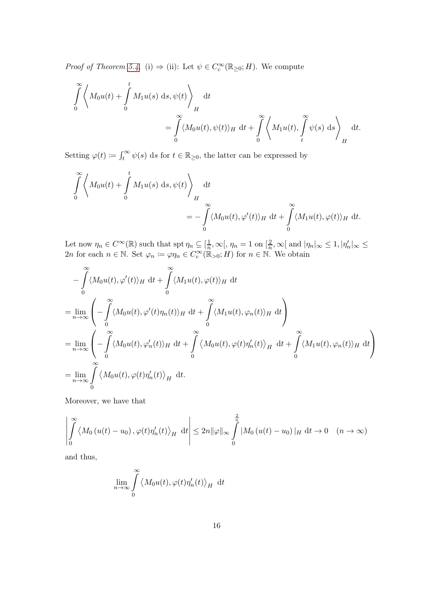*Proof of Theorem [5.4.](#page-11-1)* (i)  $\Rightarrow$  (ii): Let  $\psi \in C_c^{\infty}(\mathbb{R}_{\geq 0}; H)$ . We compute

$$
\int_{0}^{\infty} \left\langle M_{0}u(t) + \int_{0}^{t} M_{1}u(s) ds, \psi(t) \right\rangle_{H} dt
$$
  
= 
$$
\int_{0}^{\infty} \langle M_{0}u(t), \psi(t) \rangle_{H} dt + \int_{0}^{\infty} \left\langle M_{1}u(t), \int_{t}^{\infty} \psi(s) ds \right\rangle_{H} dt.
$$

Setting  $\varphi(t) \coloneqq \int_t^{\infty} \psi(s) \, ds$  for  $t \in \mathbb{R}_{\geq 0}$ , the latter can be expressed by

$$
\int_{0}^{\infty} \left\langle M_0 u(t) + \int_{0}^{t} M_1 u(s) \, ds, \psi(t) \right\rangle_{H} dt
$$
  
= 
$$
- \int_{0}^{\infty} \langle M_0 u(t), \varphi'(t) \rangle_{H} dt + \int_{0}^{\infty} \langle M_1 u(t), \varphi(t) \rangle_{H} dt.
$$

Let now  $\eta_n \in C^{\infty}(\mathbb{R})$  such that spt  $\eta_n \subseteq [\frac{1}{n}]$  $\frac{1}{n}, \infty$ [,  $\eta_n = 1$  on [ $\frac{2}{n}$ ] Let now  $\eta_n \in C^{\infty}(\mathbb{R})$  such that  $\operatorname{spt} \eta_n \subseteq [\frac{1}{n}, \infty], \eta_n = 1$  on  $[\frac{2}{n}, \infty]$  and  $|\eta_n|_{\infty} \leq 1, |\eta_n'|_{\infty} \leq 2n$  for each  $n \in \mathbb{N}$ . Set  $\varphi_n := \varphi \eta_n \in C_c^{\infty}(\mathbb{R}_{>0}; H)$  for  $n \in \mathbb{N}$ . We obtain

$$
-\int_{0}^{\infty} \langle M_{0}u(t), \varphi'(t) \rangle_{H} dt + \int_{0}^{\infty} \langle M_{1}u(t), \varphi(t) \rangle_{H} dt
$$
  
\n
$$
=\lim_{n \to \infty} \left( -\int_{0}^{\infty} \langle M_{0}u(t), \varphi'(t) \eta_{n}(t) \rangle_{H} dt + \int_{0}^{\infty} \langle M_{1}u(t), \varphi_{n}(t) \rangle_{H} dt \right)
$$
  
\n
$$
=\lim_{n \to \infty} \left( -\int_{0}^{\infty} \langle M_{0}u(t), \varphi'_{n}(t) \rangle_{H} dt + \int_{0}^{\infty} \langle M_{0}u(t), \varphi(t) \eta'_{n}(t) \rangle_{H} dt + \int_{0}^{\infty} \langle M_{1}u(t), \varphi_{n}(t) \rangle_{H} dt \right)
$$
  
\n
$$
=\lim_{n \to \infty} \int_{0}^{\infty} \langle M_{0}u(t), \varphi(t) \eta'_{n}(t) \rangle_{H} dt.
$$

Moreover, we have that

$$
\left| \int_{0}^{\infty} \left\langle M_{0} \left( u(t) - u_{0} \right), \varphi(t) \eta_{n}'(t) \right\rangle_{H} \mathrm{d}t \right| \leq 2n \|\varphi\|_{\infty} \int_{0}^{\frac{2}{n}} |M_{0} \left( u(t) - u_{0} \right)|_{H} \mathrm{d}t \to 0 \quad (n \to \infty)
$$

and thus,

$$
\lim_{n\to\infty}\int\limits_0^\infty \left\langle M_0 u(t),\varphi(t)\eta_n'(t)\right\rangle_H\;\mathrm{d}t
$$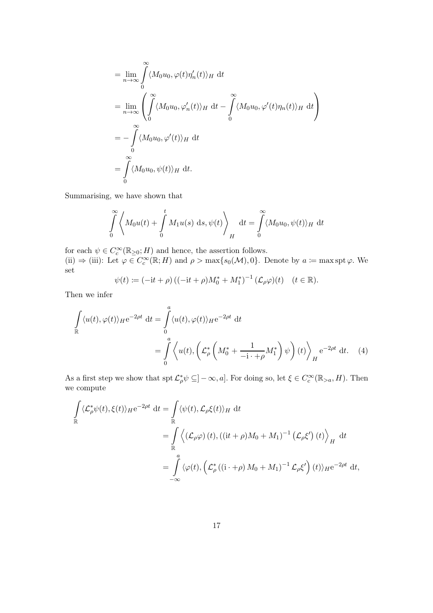$$
= \lim_{n \to \infty} \int_{0}^{\infty} \langle M_0 u_0, \varphi(t) \eta'_n(t) \rangle_H dt
$$
  
\n
$$
= \lim_{n \to \infty} \left( \int_{0}^{\infty} \langle M_0 u_0, \varphi'_n(t) \rangle_H dt - \int_{0}^{\infty} \langle M_0 u_0, \varphi'(t) \eta_n(t) \rangle_H dt \right)
$$
  
\n
$$
= - \int_{0}^{\infty} \langle M_0 u_0, \varphi'(t) \rangle_H dt
$$
  
\n
$$
= \int_{0}^{\infty} \langle M_0 u_0, \psi(t) \rangle_H dt.
$$

Summarising, we have shown that

$$
\int_{0}^{\infty} \left\langle M_0 u(t) + \int_{0}^{t} M_1 u(s) \, ds, \psi(t) \right\rangle_H dt = \int_{0}^{\infty} \langle M_0 u_0, \psi(t) \rangle_H dt
$$

for each  $\psi \in C_c^{\infty}(\mathbb{R}_{\geq 0}; H)$  and hence, the assertion follows. (ii)  $\Rightarrow$  (iii): Let  $\varphi \in C_c^{\infty}(\mathbb{R}; H)$  and  $\rho > \max\{s_0(\mathcal{M}), 0\}$ . Denote by  $a \coloneqq \max \operatorname{spt} \varphi$ . We set

<span id="page-16-0"></span>
$$
\psi(t) := (-it + \rho) \left( (-it + \rho) M_0^* + M_1^* \right)^{-1} (\mathcal{L}_{\rho} \varphi)(t) \quad (t \in \mathbb{R}).
$$

Then we infer

$$
\int_{\mathbb{R}} \langle u(t), \varphi(t) \rangle_{H} e^{-2\rho t} dt = \int_{0}^{a} \langle u(t), \varphi(t) \rangle_{H} e^{-2\rho t} dt
$$
\n
$$
= \int_{0}^{a} \langle u(t), \left( \mathcal{L}_{\rho}^{*} \left( M_{0}^{*} + \frac{1}{-i \cdot + \rho} M_{1}^{*} \right) \psi \right) (t) \rangle_{H} e^{-2\rho t} dt. \quad (4)
$$

As a first step we show that  $\text{spt}\,\mathcal{L}_\rho^*\psi\subseteq]-\infty,a]$ . For doing so, let  $\xi\in C_c^\infty(\mathbb{R}_{>a},H)$ . Then we compute

$$
\int_{\mathbb{R}} \langle \mathcal{L}_{\rho}^{*} \psi(t), \xi(t) \rangle_{H} e^{-2\rho t} dt = \int_{\mathbb{R}} \langle \psi(t), \mathcal{L}_{\rho} \xi(t) \rangle_{H} dt
$$
\n
$$
= \int_{\mathbb{R}} \langle (\mathcal{L}_{\rho} \varphi) (t), ((it + \rho)M_{0} + M_{1})^{-1} (\mathcal{L}_{\rho} \xi') (t) \rangle_{H} dt
$$
\n
$$
= \int_{-\infty}^{a} \langle \varphi(t), (\mathcal{L}_{\rho}^{*} ((i + \rho) M_{0} + M_{1})^{-1} \mathcal{L}_{\rho} \xi') (t) \rangle_{H} e^{-2\rho t} dt,
$$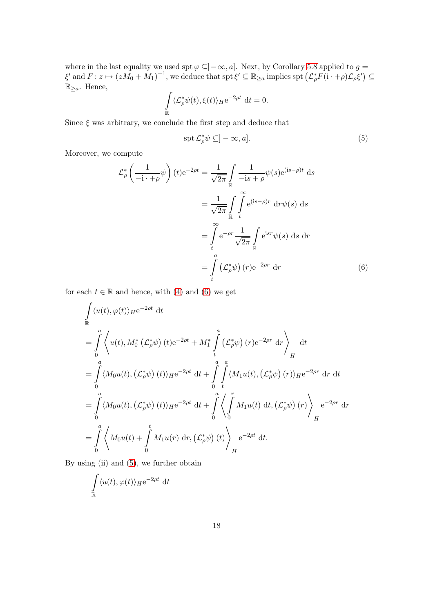where in the last equality we used  $\text{spt} \varphi \subseteq ]-\infty, a]$ . Next, by Corollary [5.8](#page-13-1) applied to  $g =$  $\xi'$  and  $F: z \mapsto (zM_0 + M_1)^{-1}$ , we deduce that  $\operatorname{spt} \xi' \subseteq \mathbb{R}_{\geq a}$  implies  $\operatorname{spt} (\mathcal{L}_\rho^* F(i \cdot + \rho) \mathcal{L}_\rho \xi') \subseteq$  $\mathbb{R}_{\geq a}$ . Hence,

$$
\int_{\mathbb{R}} \langle \mathcal{L}_\rho^* \psi(t), \xi(t) \rangle_H e^{-2\rho t} dt = 0.
$$

Since  $\xi$  was arbitrary, we conclude the first step and deduce that

<span id="page-17-1"></span><span id="page-17-0"></span>
$$
\operatorname{spt} \mathcal{L}_\rho^* \psi \subseteq ]-\infty, a]. \tag{5}
$$

Moreover, we compute

$$
\mathcal{L}_{\rho}^{*} \left( \frac{1}{-i \cdot + \rho} \psi \right) (t) e^{-2\rho t} = \frac{1}{\sqrt{2\pi}} \int_{\mathbb{R}} \frac{1}{-is + \rho} \psi(s) e^{(is-\rho)t} ds
$$

$$
= \frac{1}{\sqrt{2\pi}} \int_{\mathbb{R}} \int_{t}^{\infty} e^{(is-\rho)r} dr \psi(s) ds
$$

$$
= \int_{t}^{\infty} e^{-\rho r} \frac{1}{\sqrt{2\pi}} \int_{\mathbb{R}} e^{isr} \psi(s) ds dr
$$

$$
= \int_{t}^{a} \left( \mathcal{L}_{\rho}^{*} \psi \right) (r) e^{-2\rho r} dr \tag{6}
$$

for each  $t \in \mathbb{R}$  and hence, with [\(4\)](#page-16-0) and [\(6\)](#page-17-0) we get

$$
\int_{\mathbb{R}} \langle u(t), \varphi(t) \rangle_{H} e^{-2\rho t} dt
$$
\n=
$$
\int_{0}^{a} \langle u(t), M_{0}^{*} (\mathcal{L}_{\rho}^{*} \psi) (t) e^{-2\rho t} + M_{1}^{*} \int_{t}^{a} (\mathcal{L}_{\rho}^{*} \psi) (r) e^{-2\rho r} dr \rangle_{H}
$$
\n
$$
= \int_{0}^{a} \langle M_{0} u(t), (\mathcal{L}_{\rho}^{*} \psi) (t) \rangle_{H} e^{-2\rho t} dt + \int_{0}^{a} \int_{t}^{a} \langle M_{1} u(t), (\mathcal{L}_{\rho}^{*} \psi) (r) \rangle_{H} e^{-2\rho r} dr dt
$$
\n=
$$
\int_{0}^{a} \langle M_{0} u(t), (\mathcal{L}_{\rho}^{*} \psi) (t) \rangle_{H} e^{-2\rho t} dt + \int_{0}^{a} \langle \int_{0}^{r} M_{1} u(t) dt, (\mathcal{L}_{\rho}^{*} \psi) (r) \rangle_{H} e^{-2\rho r} dr
$$
\n=
$$
\int_{0}^{a} \langle M_{0} u(t) + \int_{0}^{t} M_{1} u(r) dr, (\mathcal{L}_{\rho}^{*} \psi) (t) \rangle_{H} e^{-2\rho t} dt.
$$

By using (ii) and [\(5\)](#page-17-1), we further obtain

$$
\int_{\mathbb{R}} \langle u(t), \varphi(t) \rangle_{H} e^{-2\rho t} dt
$$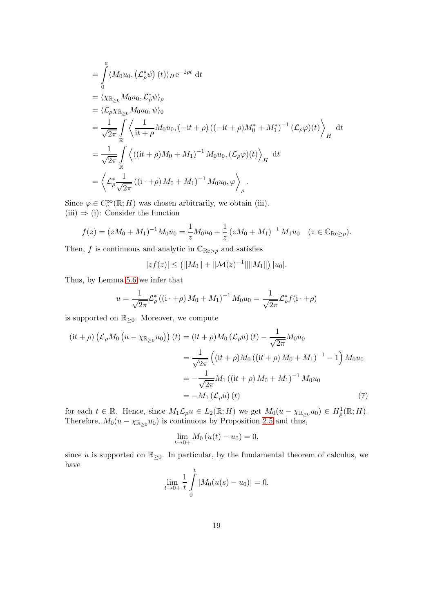$$
\begin{split}\n&= \int_{0}^{a} \langle M_{0}u_{0}, (\mathcal{L}_{\rho}^{*}\psi) (t) \rangle_{H} e^{-2\rho t} dt \\
&= \langle \chi_{\mathbb{R}_{\geq 0}} M_{0}u_{0}, \mathcal{L}_{\rho}^{*}\psi \rangle_{\rho} \\
&= \langle \mathcal{L}_{\rho} \chi_{\mathbb{R}_{\geq 0}} M_{0}u_{0}, \psi \rangle_{0} \\
&= \frac{1}{\sqrt{2\pi}} \int_{\mathbb{R}} \left\langle \frac{1}{it + \rho} M_{0}u_{0}, (-it + \rho) ((-it + \rho)M_{0}^{*} + M_{1}^{*})^{-1} (\mathcal{L}_{\rho}\varphi)(t) \right\rangle_{H} dt \\
&= \frac{1}{\sqrt{2\pi}} \int_{\mathbb{R}} \left\langle ((it + \rho)M_{0} + M_{1})^{-1} M_{0}u_{0}, (\mathcal{L}_{\rho}\varphi)(t) \right\rangle_{H} dt \\
&= \left\langle \mathcal{L}_{\rho}^{*} \frac{1}{\sqrt{2\pi}} ((i + \rho)M_{0} + M_{1})^{-1} M_{0}u_{0}, \varphi \right\rangle_{\rho}.\n\end{split}
$$

Since  $\varphi \in C_c^{\infty}(\mathbb{R}; H)$  was chosen arbitrarily, we obtain (iii).  $(iii) \Rightarrow (i)$ : Consider the function

$$
f(z) = (zM_0 + M_1)^{-1} M_0 u_0 = \frac{1}{z} M_0 u_0 + \frac{1}{z} (zM_0 + M_1)^{-1} M_1 u_0 \quad (z \in \mathbb{C}_{\text{Re} \ge \rho}).
$$

Then, f is continuous and analytic in  $\mathbb{C}_{\text{Re} > \rho}$  and satisfies

$$
|zf(z)| \le (||M_0|| + ||\mathcal{M}(z)^{-1}|| ||M_1||) |u_0|.
$$

Thus, by Lemma [5.6](#page-13-0) we infer that

$$
u = \frac{1}{\sqrt{2\pi}} \mathcal{L}_{\rho}^{*} \left( (\mathbf{i} \cdot + \rho) M_{0} + M_{1} \right)^{-1} M_{0} u_{0} = \frac{1}{\sqrt{2\pi}} \mathcal{L}_{\rho}^{*} f(\mathbf{i} \cdot + \rho)
$$

is supported on  $\mathbb{R}_{\geq 0}$ . Moreover, we compute

$$
(it + \rho) \left( \mathcal{L}_{\rho} M_0 \left( u - \chi_{\mathbb{R}_{\geq 0}} u_0 \right) \right) (t) = (it + \rho) M_0 \left( \mathcal{L}_{\rho} u \right) (t) - \frac{1}{\sqrt{2\pi}} M_0 u_0
$$
  

$$
= \frac{1}{\sqrt{2\pi}} \left( (it + \rho) M_0 \left( (it + \rho) M_0 + M_1 \right)^{-1} - 1 \right) M_0 u_0
$$
  

$$
= -\frac{1}{\sqrt{2\pi}} M_1 \left( (it + \rho) M_0 + M_1 \right)^{-1} M_0 u_0
$$
  

$$
= -M_1 \left( \mathcal{L}_{\rho} u \right) (t) \tag{7}
$$

for each  $t \in \mathbb{R}$ . Hence, since  $M_1 \mathcal{L}_{\rho} u \in L_2(\mathbb{R}; H)$  we get  $M_0(u - \chi_{\mathbb{R}_{\geq 0}} u_0) \in H^1_{\rho}(\mathbb{R}; H)$ . Therefore,  $M_0(u - \chi_{\mathbb{R}_{\geq 0}} u_0)$  is continuous by Proposition [2.5](#page-3-1) and thus,

<span id="page-18-0"></span>
$$
\lim_{t \to 0+} M_0(u(t) - u_0) = 0,
$$

since u is supported on  $\mathbb{R}_{\geq 0}$ . In particular, by the fundamental theorem of calculus, we have

$$
\lim_{t \to 0+} \frac{1}{t} \int_{0}^{t} |M_0(u(s) - u_0)| = 0.
$$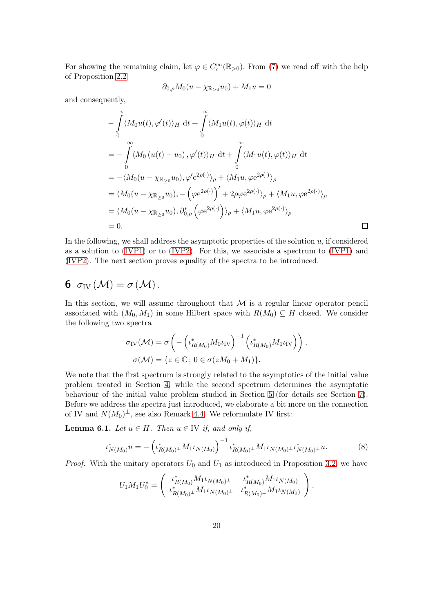For showing the remaining claim, let  $\varphi \in C_c^{\infty}(\mathbb{R}_{>0})$ . From [\(7\)](#page-18-0) we read off with the help of Proposition [2.2](#page-2-0)

$$
\partial_{0,\rho} M_0(u - \chi_{\mathbb{R}_{>0}} u_0) + M_1 u = 0
$$

and consequently,

$$
- \int_{0}^{\infty} \langle M_{0}u(t), \varphi'(t) \rangle_{H} dt + \int_{0}^{\infty} \langle M_{1}u(t), \varphi(t) \rangle_{H} dt
$$
  
\n
$$
= - \int_{0}^{\infty} \langle M_{0} (u(t) - u_{0}), \varphi'(t) \rangle_{H} dt + \int_{0}^{\infty} \langle M_{1}u(t), \varphi(t) \rangle_{H} dt
$$
  
\n
$$
= - \langle M_{0} (u - \chi_{\mathbb{R}_{\geq 0}} u_{0}), \varphi'(e^{2\rho(\cdot)})_{\rho} + \langle M_{1}u, \varphi e^{2\rho(\cdot)} \rangle_{\rho}
$$
  
\n
$$
= \langle M_{0} (u - \chi_{\mathbb{R}_{\geq 0}} u_{0}), - (\varphi e^{2\rho(\cdot)})' + 2\rho \varphi e^{2\rho(\cdot)} \rangle_{\rho} + \langle M_{1}u, \varphi e^{2\rho(\cdot)} \rangle_{\rho}
$$
  
\n
$$
= \langle M_{0} (u - \chi_{\mathbb{R}_{\geq 0}} u_{0}), \partial_{0,\rho}^{*} (\varphi e^{2\rho(\cdot)}) \rangle_{\rho} + \langle M_{1}u, \varphi e^{2\rho(\cdot)} \rangle_{\rho}
$$
  
\n
$$
= 0.
$$

In the following, we shall address the asymptotic properties of the solution  $u$ , if considered as a solution to [\(IVP1\)](#page-7-1) or to [\(IVP2\)](#page-11-0). For this, we associate a spectrum to [\(IVP1\)](#page-7-1) and [\(IVP2\)](#page-11-0). The next section proves equality of the spectra to be introduced.

## <span id="page-19-0"></span>6  $\sigma_{\text{IV}}(\mathcal{M}) = \sigma(\mathcal{M})$ .

In this section, we will assume throughout that  $M$  is a regular linear operator pencil associated with  $(M_0, M_1)$  in some Hilbert space with  $R(M_0) \subseteq H$  closed. We consider the following two spectra

$$
\sigma_{\text{IV}}(\mathcal{M}) = \sigma \left( - \left( \iota_{R(M_0)}^* M_0 \iota_{\text{IV}} \right)^{-1} \left( \iota_{R(M_0)}^* M_1 \iota_{\text{IV}} \right) \right),
$$
  

$$
\sigma(\mathcal{M}) = \{ z \in \mathbb{C} \, ; \, 0 \in \sigma(zM_0 + M_1) \}.
$$

We note that the first spectrum is strongly related to the asymptotics of the initial value problem treated in Section [4,](#page-7-0) while the second spectrum determines the asymptotic behaviour of the initial value problem studied in Section [5](#page-9-0) (for details see Section [7\)](#page-22-0). Before we address the spectra just introduced, we elaborate a bit more on the connection of IV and  $N(M_0)^{\perp}$ , see also Remark [4.4.](#page-8-1) We reformulate IV first:

<span id="page-19-1"></span>**Lemma 6.1.** Let  $u \in H$ . Then  $u \in \text{IV}$  if, and only if,

$$
\iota_{N(M_0)}^* u = -\left(\iota_{R(M_0)^{\perp}}^* M_1 \iota_{N(M_0)}\right)^{-1} \iota_{R(M_0)^{\perp}}^* M_1 \iota_{N(M_0)^{\perp}} \iota_{N(M_0)^{\perp}}^* u. \tag{8}
$$

*Proof.* With the unitary operators  $U_0$  and  $U_1$  as introduced in Proposition [3.2,](#page-5-0) we have

$$
U_1M_1U_0^* = \left( \begin{array}{cc} \iota_{R(M_0)}^*M_1\iota_{N(M_0)^\perp} & \iota_{R(M_0)}^*M_1\iota_{N(M_0)} \\ \iota_{R(M_0)^\perp}^*M_1\iota_{N(M_0)^\perp} & \iota_{R(M_0)^\perp}^*M_1\iota_{N(M_0)} \end{array} \right),
$$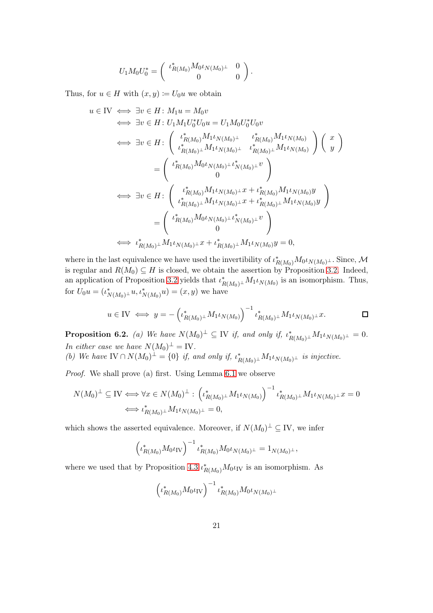$$
U_1 M_0 U_0^* = \begin{pmatrix} \iota_{R(M_0)}^* M_0 \iota_{N(M_0)^{\perp}} & 0\\ 0 & 0 \end{pmatrix}.
$$

Thus, for  $u \in H$  with  $(x, y) \coloneqq U_0 u$  we obtain

$$
u \in IV \iff \exists v \in H : M_1 u = M_0 v
$$
  
\n
$$
\iff \exists v \in H : U_1 M_1 U_0^* U_0 u = U_1 M_0 U_0^* U_0 v
$$
  
\n
$$
\iff \exists v \in H : \begin{pmatrix} \iota_{R(M_0)}^* M_1 \iota_{N(M_0)} \iota_{R(M_0)}^* M_1 \iota_{N(M_0)} \\ \iota_{R(M_0)}^* M_1 \iota_{N(M_0)} \iota_{R(M_0)}^* M_1 \iota_{N(M_0)} \end{pmatrix} \begin{pmatrix} x \\ y \end{pmatrix}
$$
  
\n
$$
= \begin{pmatrix} \iota_{R(M_0)}^* M_0 \iota_{N(M_0)} \iota_{N(M_0)}^* \iota_{R(M_0)}^* M_1 \iota_{N(M_0)} \end{pmatrix}
$$
  
\n
$$
\iff \exists v \in H : \begin{pmatrix} \iota_{R(M_0)}^* M_1 \iota_{N(M_0)} \iota_{X} + \iota_{R(M_0)}^* M_1 \iota_{N(M_0)} y \\ \iota_{R(M_0)}^* M_1 \iota_{N(M_0)} \iota_{X} + \iota_{R(M_0)}^* M_1 \iota_{N(M_0)} y \end{pmatrix}
$$
  
\n
$$
= \begin{pmatrix} \iota_{R(M_0)}^* M_0 \iota_{N(M_0)} \iota_{N(M_0)}^* \iota_{X}^* \\ 0 \end{pmatrix}
$$
  
\n
$$
\iff \iota_{R(M_0)}^* M_1 \iota_{N(M_0)} \iota_{X} + \iota_{R(M_0)}^* M_1 \iota_{N(M_0)} y = 0,
$$

where in the last equivalence we have used the invertibility of  $\iota_{R(M_0)}^* M_0 \iota_{N(M_0)^\perp}$ . Since, M is regular and  $R(M_0) \subseteq H$  is closed, we obtain the assertion by Proposition [3.2.](#page-5-0) Indeed, an application of Proposition [3.2](#page-5-0) yields that  $\iota^*_{R(M_0)^{\perp}} M_1 \iota_{N(M_0)}$  is an isomorphism. Thus, for  $U_0 u = (\iota^*_{N(M_0)^{\perp}} u, \iota^*_{N(M_0)} u) = (x, y)$  we have

$$
u \in \text{IV} \iff y = -\left(\iota_{R(M_0)^{\perp}}^* M_1 \iota_{N(M_0)}\right)^{-1} \iota_{R(M_0)^{\perp}}^* M_1 \iota_{N(M_0)^{\perp}} x.
$$

**Proposition 6.2.** (a) We have  $N(M_0)^{\perp} \subseteq$  IV if, and only if,  $\iota_{R(M_0)^{\perp}}^* M_1 \iota_{N(M_0)^{\perp}} = 0$ . In either case we have  $N(M_0)^{\perp} = IV$ .

(b) We have  $IV \cap N(M_0)^{\perp} = \{0\}$  if, and only if,  $\iota_{R(M_0)^{\perp}}^* M_1 \iota_{N(M_0)^{\perp}}$  is injective.

Proof. We shall prove (a) first. Using Lemma [6.1](#page-19-1) we observe

$$
N(M_0)^{\perp} \subseteq \mathcal{IV} \Longleftrightarrow \forall x \in N(M_0)^{\perp} : \left(\iota^*_{R(M_0)^{\perp}} M_1 \iota_{N(M_0)}\right)^{-1} \iota^*_{R(M_0)^{\perp}} M_1 \iota_{N(M_0)^{\perp}} x = 0
$$
  

$$
\Longleftrightarrow \iota^*_{R(M_0)^{\perp}} M_1 \iota_{N(M_0)^{\perp}} = 0,
$$

which shows the asserted equivalence. Moreover, if  $N(M_0)^{\perp} \subseteq$  IV, we infer

$$
\left(\iota_{R(M_0)}^* M_0 \iota_{\text{IV}}\right)^{-1} \iota_{R(M_0)}^* M_0 \iota_{N(M_0)^{\perp}} = 1_{N(M_0)^{\perp}},
$$

where we used that by Proposition [4.3](#page-7-3)  $\iota_{R(M_0)}^* M_0 \iota_{\text{IV}}$  is an isomorphism. As

$$
\left(\iota_{R(M_0)}^* M_0 \iota_{\text{IV}}\right)^{-1} \iota_{R(M_0)}^* M_0 \iota_{N(M_0)^{\perp}}
$$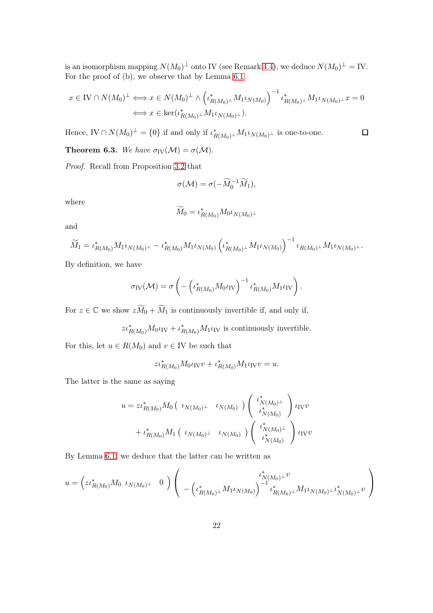is an isomorphism mapping  $N(M_0)^{\perp}$  onto IV (see Remark [4.4\)](#page-8-1), we deduce  $N(M_0)^{\perp} =$  IV. For the proof of (b), we observe that by Lemma [6.1](#page-19-1)

$$
x \in \text{IV} \cap N(M_0)^{\perp} \Longleftrightarrow x \in N(M_0)^{\perp} \wedge \left(\iota_{R(M_0)^{\perp}}^* M_1 \iota_{N(M_0)}\right)^{-1} \iota_{R(M_0)^{\perp}}^* M_1 \iota_{N(M_0)^{\perp}} x = 0
$$
  

$$
\Longleftrightarrow x \in \text{ker}(\iota_{R(M_0)^{\perp}}^* M_1 \iota_{N(M_0)^{\perp}}).
$$

 $\Box$ 

Hence,  $IV \cap N(M_0)^{\perp} = \{0\}$  if and only if  $\iota_{R(M_0)^{\perp}}^* M_1 \iota_{N(M_0)^{\perp}}$  is one-to-one.

**Theorem 6.3.** We have  $\sigma_{IV}(\mathcal{M}) = \sigma(\mathcal{M})$ .

Proof. Recall from Proposition [3.2](#page-5-0) that

$$
\sigma(\mathcal{M}) = \sigma(-\widetilde{M}_0^{-1}\widetilde{M}_1),
$$

where

$$
\widetilde{M}_{0}=\iota_{R(M_{0})}^{*}M_{0}\iota_{N(M_{0})^{\perp}}
$$

and

$$
\widetilde{M}_1 = \iota_{R(M_0)}^* M_1 \iota_{N(M_0)^{\perp}} - \iota_{R(M_0)}^* M_1 \iota_{N(M_0)} \left( \iota_{R(M_0)^{\perp}}^* M_1 \iota_{N(M_0)} \right)^{-1} \iota_{R(M_0)^{\perp}} M_1 \iota_{N(M_0)^{\perp}}.
$$

By definition, we have

$$
\sigma_{\text{IV}}(\mathcal{M}) = \sigma \left( - \left( \iota_{R(M_0)}^* M_0 \iota_{\text{IV}} \right)^{-1} \iota_{R(M_0)}^* M_1 \iota_{\text{IV}} \right).
$$

For  $z \in \mathbb{C}$  we show  $z\widetilde{M}_0 + \widetilde{M}_1$  is continuously invertible if, and only if,

 $z\iota_{R(M_0)}^*M_0\iota_{\text{IV}}+\iota_{R(M_0)}^*M_1\iota_{\text{IV}}$  is continuously invertible.

For this, let  $u \in R(M_0)$  and  $v \in \text{IV}$  be such that

$$
z\iota_{R(M_0)}^* M_0 \iota_{\rm IV} v + \iota_{R(M_0)}^* M_1 \iota_{\rm IV} v = u.
$$

The latter is the same as saying

$$
u = z \iota_{R(M_0)}^* M_0 \begin{pmatrix} \iota_{N(M_0)^{\perp}} & \iota_{N(M_0)} \end{pmatrix} \begin{pmatrix} \iota_{N(M_0)^{\perp}}^* \\ \iota_{N(M_0)}^* \end{pmatrix} \iota_{\text{IV}} v
$$
  
+  $\iota_{R(M_0)}^* M_1 \begin{pmatrix} \iota_{N(M_0)^{\perp}} & \iota_{N(M_0)} \end{pmatrix} \begin{pmatrix} \iota_{N(M_0)^{\perp}}^* \\ \iota_{N(M_0)}^* \end{pmatrix} \iota_{\text{IV}} v$ 

By Lemma [6.1,](#page-19-1) we deduce that the latter can be written as

$$
u = \left( z t_{R(M_0)}^* M_0 \tcdot \nu_{N(M_0)^{\perp}} 0 \right) \left( \tfrac{t_{N(M_0)^{\perp}}^* v}{- \left( t_{R(M_0)^{\perp}}^* M_1 \iota_{N(M_0)} \right)^{-1} t_{R(M_0)^{\perp}}^* M_1 \iota_{N(M_0)^{\perp}} \iota_{N(M_0)^{\perp}}^* v} \right)
$$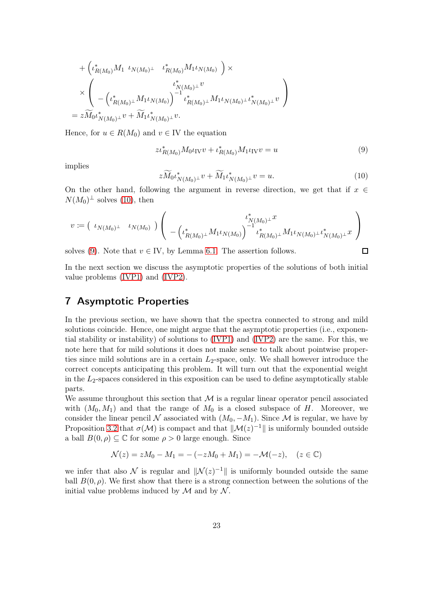+ 
$$
(\iota_{R(M_0)}^* M_1 \iota_{N(M_0)^{\perp}} \iota_{R(M_0)}^* M_1 \iota_{N(M_0)} ) \times
$$
  
\n $\times \left( \iota_{R(M_0)^{\perp}}^* M_1 \iota_{N(M_0)^{\perp}} \iota_{R(M_0)^{\perp}}^* M_1 \iota_{N(M_0)^{\perp}} \iota_{N(M_0)^{\perp}}^* \iota_{N(M_0)^{\perp}}^* \iota_{N(M_0)^{\perp}}^* \iota_{N(M_0)^{\perp}}^* \iota_{N(M_0)^{\perp}}^* \right)$   
\n=  $z \widetilde{M}_0 \iota_{N(M_0)^{\perp}}^* v + \widetilde{M}_1 \iota_{N(M_0)^{\perp}}^* v.$ 

Hence, for  $u \in R(M_0)$  and  $v \in \text{IV}$  the equation

<span id="page-22-2"></span>
$$
z\iota_{R(M_0)}^* M_0 \iota_{\text{IV}} v + \iota_{R(M_0)}^* M_1 \iota_{\text{IV}} v = u \tag{9}
$$

implies

<span id="page-22-1"></span>
$$
z\widetilde{M}_0\iota^*_{N(M_0)^{\perp}}v + \widetilde{M}_1\iota^*_{N(M_0)^{\perp}}v = u.
$$
\n(10)

 $\Box$ 

On the other hand, following the argument in reverse direction, we get that if  $x \in \mathbb{R}$  $N(M_0)^{\perp}$  solves [\(10\)](#page-22-1), then

$$
v \coloneqq \left(\begin{array}{cc} \iota_{N(M_0)^\perp} & \iota_{N(M_0)} \end{array}\right) \left(\begin{array}{c} \iota^*_{N(M_0)^\perp}x \\ -\left(\iota^*_{R(M_0)^\perp}M_1\iota_{N(M_0)}\right)^{-1}\iota^*_{R(M_0)^\perp}M_1\iota_{N(M_0)^\perp}\iota^*_{N(M_0)^\perp}x \end{array}\right).
$$

solves [\(9\)](#page-22-2). Note that  $v \in \mathbb{I}$  by Lemma [6.1.](#page-19-1) The assertion follows.

In the next section we discuss the asymptotic properties of the solutions of both initial value problems [\(IVP1\)](#page-7-1) and [\(IVP2\)](#page-11-0).

### <span id="page-22-0"></span>7 Asymptotic Properties

In the previous section, we have shown that the spectra connected to strong and mild solutions coincide. Hence, one might argue that the asymptotic properties (i.e., exponential stability or instability) of solutions to [\(IVP1\)](#page-7-1) and [\(IVP2\)](#page-11-0) are the same. For this, we note here that for mild solutions it does not make sense to talk about pointwise properties since mild solutions are in a certain  $L_2$ -space, only. We shall however introduce the correct concepts anticipating this problem. It will turn out that the exponential weight in the  $L_2$ -spaces considered in this exposition can be used to define asymptotically stable parts.

We assume throughout this section that  $M$  is a regular linear operator pencil associated with  $(M_0, M_1)$  and that the range of  $M_0$  is a closed subspace of H. Moreover, we consider the linear pencil N associated with  $(M_0, -M_1)$ . Since M is regular, we have by Proposition [3.2](#page-5-0) that  $\sigma(\mathcal{M})$  is compact and that  $\|\mathcal{M}(z)^{-1}\|$  is uniformly bounded outside a ball  $B(0, \rho) \subseteq \mathbb{C}$  for some  $\rho > 0$  large enough. Since

$$
\mathcal{N}(z) = zM_0 - M_1 = -(-zM_0 + M_1) = -\mathcal{M}(-z), \quad (z \in \mathbb{C})
$$

we infer that also  $\mathcal N$  is regular and  $\|\mathcal N(z)^{-1}\|$  is uniformly bounded outside the same ball  $B(0, \rho)$ . We first show that there is a strong connection between the solutions of the initial value problems induced by  $\mathcal M$  and by  $\mathcal N$ .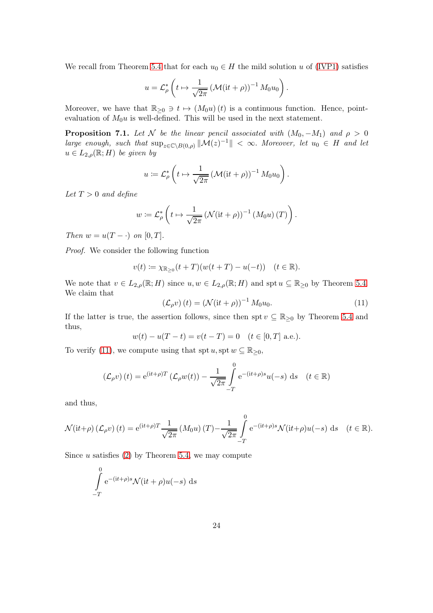We recall from Theorem [5.4](#page-11-1) that for each  $u_0 \in H$  the mild solution u of [\(IVP1\)](#page-7-1) satisfies

$$
u = \mathcal{L}_{\rho}^* \left( t \mapsto \frac{1}{\sqrt{2\pi}} \left( \mathcal{M}(it + \rho) \right)^{-1} M_0 u_0 \right).
$$

Moreover, we have that  $\mathbb{R}_{\geq 0} \ni t \mapsto (M_0u)(t)$  is a continuous function. Hence, pointevaluation of  $M_0u$  is well-defined. This will be used in the next statement.

<span id="page-23-1"></span>**Proposition 7.1.** Let N be the linear pencil associated with  $(M_0, -M_1)$  and  $\rho > 0$ large enough, such that  $\sup_{z\in\mathbb{C}\setminus B(0,\rho)}\|\mathcal{M}(z)^{-1}\| < \infty$ . Moreover, let  $u_0 \in H$  and let  $u \in L_{2,\rho}(\mathbb{R};H)$  be given by

$$
u := \mathcal{L}_{\rho}^* \left( t \mapsto \frac{1}{\sqrt{2\pi}} \left( \mathcal{M}(it + \rho) \right)^{-1} M_0 u_0 \right).
$$

Let  $T > 0$  and define

$$
w := \mathcal{L}_{\rho}^* \left( t \mapsto \frac{1}{\sqrt{2\pi}} \left( \mathcal{N}(\mathrm{i}t + \rho) \right)^{-1} \left( M_0 u \right) (T) \right).
$$

Then  $w = u(T - \cdot)$  on [0, T].

Proof. We consider the following function

$$
v(t) := \chi_{\mathbb{R}_{\geq 0}}(t+T)(w(t+T) - u(-t))
$$
  $(t \in \mathbb{R}).$ 

We note that  $v \in L_{2,\rho}(\mathbb{R}; H)$  since  $u, w \in L_{2,\rho}(\mathbb{R}; H)$  and spt  $u \subseteq \mathbb{R}_{\geq 0}$  by Theorem [5.4.](#page-11-1) We claim that

<span id="page-23-0"></span>
$$
\left(\mathcal{L}_{\rho}v\right)(t) = \left(\mathcal{N}(\mathrm{i}t + \rho)\right)^{-1} M_0 u_0.
$$
\n(11)

If the latter is true, the assertion follows, since then spt  $v \subseteq \mathbb{R}_{\geq 0}$  by Theorem [5.4](#page-11-1) and thus,

$$
w(t) - u(T - t) = v(t - T) = 0
$$
  $(t \in [0, T]$  a.e.).

To verify [\(11\)](#page-23-0), we compute using that spt  $u$ , spt  $w \subseteq \mathbb{R}_{\geq 0}$ ,

$$
\left(\mathcal{L}_{\rho}v\right)(t) = e^{(it+\rho)T}\left(\mathcal{L}_{\rho}w(t)\right) - \frac{1}{\sqrt{2\pi}}\int_{-T}^{0} e^{-(it+\rho)s}u(-s) \,ds \quad (t \in \mathbb{R})
$$

and thus,

$$
\mathcal{N}(\mathrm{i}t+\rho)\left(\mathcal{L}_{\rho}v\right)(t) = \mathrm{e}^{(\mathrm{i}t+\rho)T}\frac{1}{\sqrt{2\pi}}\left(M_0u\right)(T) - \frac{1}{\sqrt{2\pi}}\int_{-T}^{0}\mathrm{e}^{-(\mathrm{i}t+\rho)s}\mathcal{N}(\mathrm{i}t+\rho)u(-s)\,\mathrm{d}s \quad (t \in \mathbb{R}).
$$

Since  $u$  satisfies  $(2)$  by Theorem [5.4,](#page-11-1) we may compute

$$
\int_{-T}^{0} e^{-(it+\rho)s} \mathcal{N}(it+\rho)u(-s) \, ds
$$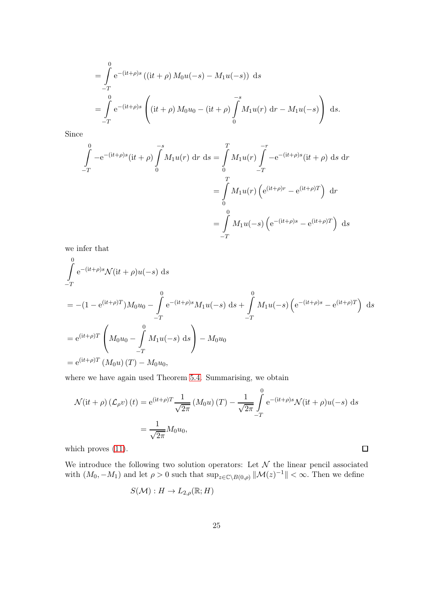$$
= \int_{-T}^{0} e^{-(it+\rho)s} ((it+\rho) M_0 u(-s) - M_1 u(-s)) ds
$$
  
= 
$$
\int_{-T}^{0} e^{-(it+\rho)s} \left( (it+\rho) M_0 u_0 - (it+\rho) \int_{0}^{-s} M_1 u(r) dr - M_1 u(-s) \right) ds.
$$

Since

$$
\int_{-T}^{0} -e^{-(it+\rho)s}(it+\rho) \int_{0}^{-s} M_1 u(r) dr ds = \int_{0}^{T} M_1 u(r) \int_{-T}^{-r} -e^{-(it+\rho)s}(it+\rho) ds dr
$$

$$
= \int_{0}^{T} M_1 u(r) \left( e^{(it+\rho)r} - e^{(it+\rho)T} \right) dr
$$

$$
= \int_{-T}^{0} M_1 u(-s) \left( e^{-(it+\rho)s} - e^{(it+\rho)T} \right) ds
$$

we infer that

$$
\int_{-T}^{0} e^{-(it+\rho)s} \mathcal{N}(it+\rho)u(-s) ds
$$
\n
$$
= -(1 - e^{(it+\rho)T})M_0u_0 - \int_{-T}^{0} e^{-(it+\rho)s} M_1u(-s) ds + \int_{-T}^{0} M_1u(-s) \left( e^{-(it+\rho)s} - e^{(it+\rho)T} \right) ds
$$
\n
$$
= e^{(it+\rho)T} \left( M_0u_0 - \int_{-T}^{0} M_1u(-s) ds \right) - M_0u_0
$$
\n
$$
= e^{(it+\rho)T} (M_0u) (T) - M_0u_0,
$$

where we have again used Theorem [5.4.](#page-11-1) Summarising, we obtain

$$
\mathcal{N}(\mathrm{i}t + \rho) \left( \mathcal{L}_{\rho} v \right)(t) = \mathrm{e}^{(\mathrm{i}t + \rho)T} \frac{1}{\sqrt{2\pi}} \left( M_0 u \right)(T) - \frac{1}{\sqrt{2\pi}} \int_{-T}^{0} \mathrm{e}^{-(\mathrm{i}t + \rho)s} \mathcal{N}(\mathrm{i}t + \rho) u(-s) \, \mathrm{d}s
$$

$$
= \frac{1}{\sqrt{2\pi}} M_0 u_0,
$$

which proves  $(11)$ .

We introduce the following two solution operators: Let  $\mathcal N$  the linear pencil associated with  $(M_0, -M_1)$  and let  $\rho > 0$  such that  $\sup_{z \in \mathbb{C} \setminus B(0,\rho)} ||\mathcal{M}(z)^{-1}|| < \infty$ . Then we define

 $\hfill \square$ 

$$
S(\mathcal{M}): H \to L_{2,\rho}(\mathbb{R}; H)
$$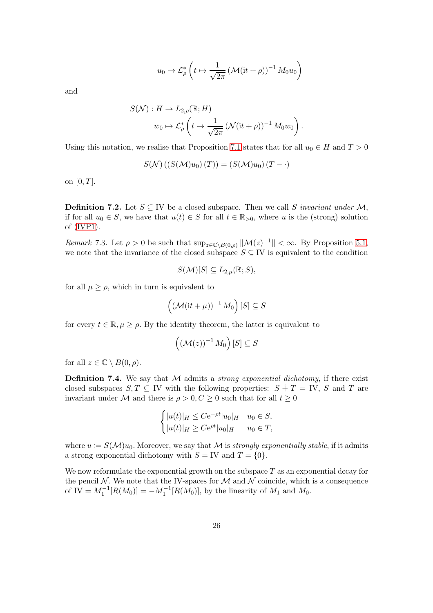$$
u_0 \mapsto \mathcal{L}_\rho^* \left( t \mapsto \frac{1}{\sqrt{2\pi}} \left( \mathcal{M}(it+\rho) \right)^{-1} M_0 u_0 \right)
$$

and

$$
S(\mathcal{N}): H \to L_{2,\rho}(\mathbb{R}; H)
$$
  

$$
w_0 \mapsto \mathcal{L}_{\rho}^* \left( t \mapsto \frac{1}{\sqrt{2\pi}} \left( \mathcal{N}(\mathrm{i}t + \rho) \right)^{-1} M_0 w_0 \right).
$$

Using this notation, we realise that Proposition [7.1](#page-23-1) states that for all  $u_0 \in H$  and  $T > 0$ 

$$
S(\mathcal{N})\left(\left(S(\mathcal{M})u_0\right)(T)\right) = \left(S(\mathcal{M})u_0\right)(T - \cdot)
$$

on  $[0, T]$ .

**Definition 7.2.** Let  $S \subseteq \text{IV}$  be a closed subspace. Then we call S invariant under M, if for all  $u_0 \in S$ , we have that  $u(t) \in S$  for all  $t \in \mathbb{R}_{>0}$ , where u is the (strong) solution of [\(IVP1\)](#page-7-1).

Remark 7.3. Let  $\rho > 0$  be such that  $\sup_{z \in \mathbb{C} \setminus B(0,\rho)} ||\mathcal{M}(z)^{-1}|| < \infty$ . By Proposition [5.1,](#page-9-1) we note that the invariance of the closed subspace  $S \subseteq \text{IV}$  is equivalent to the condition

$$
S(\mathcal{M})[S] \subseteq L_{2,\mu}(\mathbb{R};S),
$$

for all  $\mu \geq \rho$ , which in turn is equivalent to

$$
\left(\left(\mathcal{M}(\mathrm{i}t+\mu)\right)^{-1}M_0\right)[S]\subseteq S
$$

for every  $t \in \mathbb{R}, \mu \geq \rho$ . By the identity theorem, the latter is equivalent to

$$
\left((\mathcal{M}(z))^{-1} M_0\right)[S] \subseteq S
$$

for all  $z \in \mathbb{C} \setminus B(0, \rho)$ .

**Definition 7.4.** We say that  $M$  admits a *strong exponential dichotomy*, if there exist closed subspaces  $S, T \subseteq V$  with the following properties:  $S + T = V$ , S and T are invariant under M and there is  $\rho > 0, C \geq 0$  such that for all  $t \geq 0$ 

$$
\begin{cases} |u(t)|_H \leq C e^{-\rho t} |u_0|_H & u_0 \in S, \\ |u(t)|_H \geq C e^{\rho t} |u_0|_H & u_0 \in T, \end{cases}
$$

where  $u := S(\mathcal{M})u_0$ . Moreover, we say that  $\mathcal M$  is strongly exponentially stable, if it admits a strong exponential dichotomy with  $S = V$  and  $T = \{0\}.$ 

We now reformulate the exponential growth on the subspace  $T$  as an exponential decay for the pencil  $\mathcal N$ . We note that the IV-spaces for  $\mathcal M$  and  $\mathcal N$  coincide, which is a consequence of IV =  $M_1^{-1}[R(M_0)] = -M_1^{-1}[R(M_0)]$ , by the linearity of  $M_1$  and  $M_0$ .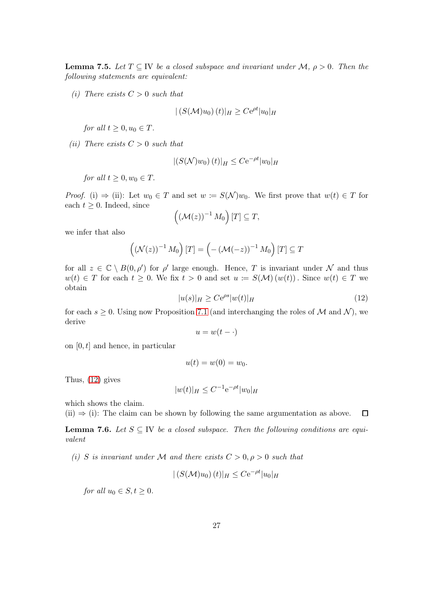**Lemma 7.5.** Let  $T \subseteq \text{IV}$  be a closed subspace and invariant under  $\mathcal{M}, \rho > 0$ . Then the following statements are equivalent:

(i) There exists  $C > 0$  such that

$$
|(S(\mathcal{M})u_0)(t)|_H \ge Ce^{\rho t}|u_0|_H
$$

for all  $t \geq 0, u_0 \in T$ .

(ii) There exists  $C > 0$  such that

$$
|(S(\mathcal{N})w_0)(t)|_H \leq C\mathrm{e}^{-\rho t}|w_0|_H
$$

for all  $t \geq 0, w_0 \in T$ .

*Proof.* (i)  $\Rightarrow$  (ii): Let  $w_0 \in T$  and set  $w := S(\mathcal{N})w_0$ . We first prove that  $w(t) \in T$  for each  $t \geq 0$ . Indeed, since

$$
((\mathcal{M}(z))^{-1} M_0)[T] \subseteq T,
$$

we infer that also

$$
\left((\mathcal{N}(z))^{-1} M_0\right)[T] = \left(-\left(\mathcal{M}(-z)\right)^{-1} M_0\right)[T] \subseteq T
$$

for all  $z \in \mathbb{C} \setminus B(0,\rho')$  for  $\rho'$  large enough. Hence, T is invariant under  $\mathcal N$  and thus  $w(t) \in T$  for each  $t \geq 0$ . We fix  $t > 0$  and set  $u := S(\mathcal{M}) (w(t))$ . Since  $w(t) \in T$  we obtain

<span id="page-26-0"></span>
$$
|u(s)|_H \ge Ce^{\rho s}|w(t)|_H \tag{12}
$$

for each  $s \geq 0$ . Using now Proposition [7.1](#page-23-1) (and interchanging the roles of M and N), we derive

$$
u = w(t - \cdot)
$$

on  $[0, t]$  and hence, in particular

$$
u(t) = w(0) = w_0.
$$

Thus, [\(12\)](#page-26-0) gives

$$
|w(t)|_H \leq C^{-1} e^{-\rho t} |w_0|_H
$$

which shows the claim.

(ii)  $\Rightarrow$  (i): The claim can be shown by following the same argumentation as above. 口

<span id="page-26-1"></span>**Lemma 7.6.** Let  $S \subseteq \mathbb{N}$  be a closed subspace. Then the following conditions are equivalent

(i) S is invariant under M and there exists  $C > 0, \rho > 0$  such that

$$
|(S(\mathcal{M})u_0)(t)|_H \leq C\mathrm{e}^{-\rho t}|u_0|_H
$$

for all  $u_0 \in S, t \geq 0$ .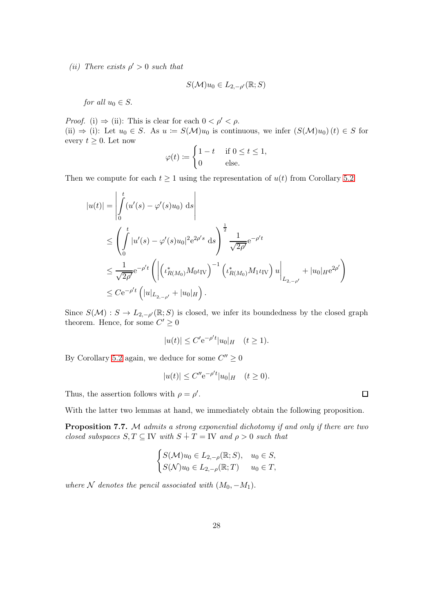(*ii*) There exists  $\rho' > 0$  such that

$$
S(\mathcal{M})u_0\in L_{2,-\rho'}(\mathbb{R};S)
$$

for all  $u_0 \in S$ .

*Proof.* (i)  $\Rightarrow$  (ii): This is clear for each  $0 < \rho' < \rho$ . (ii)  $\Rightarrow$  (i): Let  $u_0 \in S$ . As  $u := S(\mathcal{M})u_0$  is continuous, we infer  $(S(\mathcal{M})u_0)(t) \in S$  for every  $t \geq 0$ . Let now

$$
\varphi(t) := \begin{cases} 1 - t & \text{if } 0 \le t \le 1, \\ 0 & \text{else.} \end{cases}
$$

Then we compute for each  $t \geq 1$  using the representation of  $u(t)$  from Corollary [5.2](#page-10-0)

$$
|u(t)| = \left| \int_{0}^{t} (u'(s) - \varphi'(s)u_0) \, ds \right|
$$
  
\n
$$
\leq \left( \int_{0}^{t} |u'(s) - \varphi'(s)u_0|^2 e^{2\rho's} \, ds \right)^{\frac{1}{2}} \frac{1}{\sqrt{2\rho'}} e^{-\rho't}
$$
  
\n
$$
\leq \frac{1}{\sqrt{2\rho'}} e^{-\rho't} \left( \left| \left( \iota_{R(M_0)}^* M_0 \iota_{\text{IV}} \right)^{-1} \left( \iota_{R(M_0)}^* M_1 \iota_{\text{IV}} \right) u \right|_{L_{2,-\rho'}} + |u_0|_{H} e^{2\rho'} \right)
$$
  
\n
$$
\leq C e^{-\rho't} \left( |u|_{L_{2,-\rho'}} + |u_0|_{H} \right).
$$

Since  $S(\mathcal{M}) : S \to L_{2,-\rho'}(\mathbb{R};S)$  is closed, we infer its boundedness by the closed graph theorem. Hence, for some  $C' \geq 0$ 

$$
|u(t)| \le C' e^{-\rho' t} |u_0|_H \quad (t \ge 1).
$$

By Corollary [5.2](#page-10-0) again, we deduce for some  $C'' \ge 0$ 

$$
|u(t)| \leq C'' e^{-\rho' t} |u_0|_H \quad (t \geq 0).
$$

Thus, the assertion follows with  $\rho = \rho'$ .

With the latter two lemmas at hand, we immediately obtain the following proposition.

Proposition 7.7. M admits a strong exponential dichotomy if and only if there are two closed subspaces  $S, T \subseteq \text{IV}$  with  $S + T = \text{IV}$  and  $\rho > 0$  such that

$$
\begin{cases} S(\mathcal{M})u_0 \in L_{2,-\rho}(\mathbb{R}; S), & u_0 \in S, \\ S(\mathcal{N})u_0 \in L_{2,-\rho}(\mathbb{R}; T) & u_0 \in T, \end{cases}
$$

where N denotes the pencil associated with  $(M_0, -M_1)$ .

 $\Box$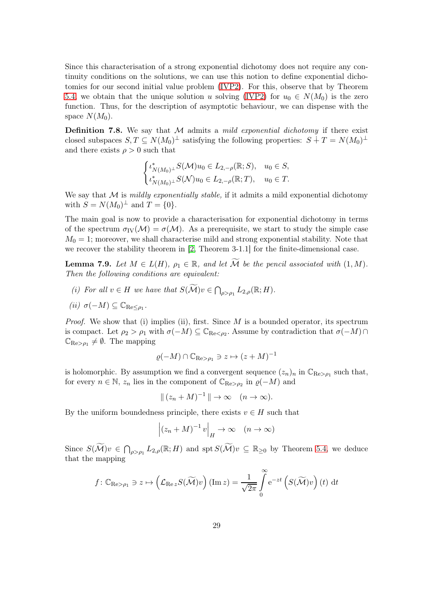Since this characterisation of a strong exponential dichotomy does not require any continuity conditions on the solutions, we can use this notion to define exponential dichotomies for our second initial value problem [\(IVP2\)](#page-11-0). For this, observe that by Theorem [5.4,](#page-11-1) we obtain that the unique solution u solving [\(IVP2\)](#page-11-0) for  $u_0 \in N(M_0)$  is the zero function. Thus, for the description of asymptotic behaviour, we can dispense with the space  $N(M_0)$ .

**Definition 7.8.** We say that  $M$  admits a *mild exponential dichotomy* if there exist closed subspaces  $S, T \subseteq N(M_0)^{\perp}$  satisfying the following properties:  $S + T = N(M_0)^{\perp}$ and there exists  $\rho > 0$  such that

$$
\begin{cases} \iota_{N(M_0)^{\perp}}^* S(\mathcal{M}) u_0 \in L_{2,-\rho}(\mathbb{R}; S), & u_0 \in S, \\ \iota_{N(M_0)^{\perp}}^* S(\mathcal{N}) u_0 \in L_{2,-\rho}(\mathbb{R}; T), & u_0 \in T. \end{cases}
$$

We say that  $M$  is *mildly exponentially stable*, if it admits a mild exponential dichotomy with  $S = N(M_0)^{\perp}$  and  $T = \{0\}.$ 

The main goal is now to provide a characterisation for exponential dichotomy in terms of the spectrum  $\sigma_{IV}(\mathcal{M}) = \sigma(\mathcal{M})$ . As a prerequisite, we start to study the simple case  $M_0 = 1$ ; moreover, we shall characterise mild and strong exponential stability. Note that we recover the stability theorem in [\[2,](#page-32-0) Theorem 3-1.1] for the finite-dimensional case.

<span id="page-28-0"></span>**Lemma 7.9.** Let  $M \in L(H)$ ,  $\rho_1 \in \mathbb{R}$ , and let  $\widetilde{M}$  be the pencil associated with  $(1, M)$ . Then the following conditions are equivalent:

- (i) For all  $v \in H$  we have that  $S(\widetilde{\mathcal{M}})v \in \bigcap_{\rho > \rho_1} L_{2,\rho}(\mathbb{R}; H)$ .
- (*ii*)  $\sigma(-M) \subseteq \mathbb{C}_{\text{Re}\leq \rho_1}$ .

*Proof.* We show that (i) implies (ii), first. Since  $M$  is a bounded operator, its spectrum is compact. Let  $\rho_2 > \rho_1$  with  $\sigma(-M) \subseteq \mathbb{C}_{\text{Re}\lt\rho_2}$ . Assume by contradiction that  $\sigma(-M) \cap$  $\mathbb{C}_{\mathrm{Re} > \rho_1} \neq \emptyset$ . The mapping

$$
\varrho(-M) \cap \mathbb{C}_{\mathrm{Re} > \rho_1} \ni z \mapsto (z+M)^{-1}
$$

is holomorphic. By assumption we find a convergent sequence  $(z_n)_n$  in  $\mathbb{C}_{\text{Re} > \rho_1}$  such that, for every  $n \in \mathbb{N}$ ,  $z_n$  lies in the component of  $\mathbb{C}_{\text{Re} > \rho_2}$  in  $\varrho(-M)$  and

$$
\|(z_n + M)^{-1}\| \to \infty \quad (n \to \infty).
$$

By the uniform boundedness principle, there exists  $v \in H$  such that

$$
\left| (z_n + M)^{-1} v \right|_H \to \infty \quad (n \to \infty)
$$

Since  $S(\widetilde{\mathcal{M}})v \in \bigcap_{\rho > \rho_1} L_{2,\rho}(\mathbb{R}; H)$  and  $\text{spt } S(\widetilde{\mathcal{M}})v \subseteq \mathbb{R}_{\geq 0}$  by Theorem [5.4,](#page-11-1) we deduce that the mapping

$$
f: \mathbb{C}_{\mathrm{Re} > \rho_1} \ni z \mapsto \left( \mathcal{L}_{\mathrm{Re} z} S(\widetilde{\mathcal{M}}) v \right) (\mathrm{Im} z) = \frac{1}{\sqrt{2\pi}} \int_{0}^{\infty} e^{-zt} \left( S(\widetilde{\mathcal{M}}) v \right) (t) dt
$$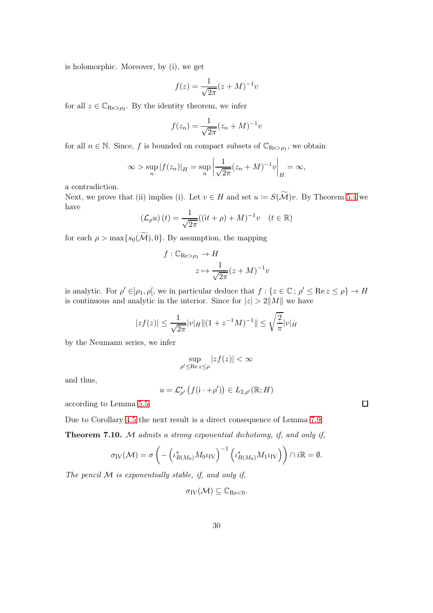is holomorphic. Moreover, by (i), we get

$$
f(z) = \frac{1}{\sqrt{2\pi}} (z + M)^{-1} v
$$

for all  $z \in \mathbb{C}_{\mathrm{Re} > \rho_2}$ . By the identity theorem, we infer

$$
f(z_n) = \frac{1}{\sqrt{2\pi}} (z_n + M)^{-1} v
$$

for all  $n \in \mathbb{N}$ . Since, f is bounded on compact subsets of  $\mathbb{C}_{\text{Re} > \rho_1}$ , we obtain

$$
\infty > \sup_{n} |f(z_n)|_H = \sup_{n} \left| \frac{1}{\sqrt{2\pi}} (z_n + M)^{-1} v \right|_H = \infty,
$$

a contradiction.

Next, we prove that (ii) implies (i). Let  $v \in H$  and set  $u := S(\widetilde{\mathcal{M}})v$ . By Theorem [5.4](#page-11-1) we have

$$
\left(\mathcal{L}_{\rho}u\right)(t) = \frac{1}{\sqrt{2\pi}}((\mathrm{i}t + \rho) + M)^{-1}v \quad (t \in \mathbb{R})
$$

for each  $\rho > \max\{s_0(\widetilde{\mathcal{M}}), 0\}$ . By assumption, the mapping

$$
f: \mathbb{C}_{\mathrm{Re} > \rho_1} \to H
$$

$$
z \mapsto \frac{1}{\sqrt{2\pi}} (z + M)^{-1} v
$$

is analytic. For  $\rho' \in ]\rho_1, \rho[$ , we in particular deduce that  $f : \{z \in \mathbb{C} : \rho' \le \text{Re } z \le \rho\} \to H$ is continuous and analytic in the interior. Since for  $|z| > 2||M||$  we have

$$
|zf(z)| \le \frac{1}{\sqrt{2\pi}}|v|_H \|(1+z^{-1}M)^{-1}\| \le \sqrt{\frac{2}{\pi}}|v|_H
$$

by the Neumann series, we infer

$$
\sup_{\rho'\leq \text{Re}\, z\leq \rho}|zf(z)|<\infty
$$

and thus,

$$
u=\mathcal{L}_{\rho'}^*\left(f(\mathbf{i}\cdot+\rho')\right)\in L_{2,\rho'}(\mathbb{R};H)
$$

according to Lemma [5.5.](#page-12-1)

<span id="page-29-0"></span>Due to Corollary [4.5](#page-8-0) the next result is a direct consequence of Lemma [7.9:](#page-28-0) Theorem 7.10. M admits a strong exponential dichotomy, if, and only if,

$$
\sigma_{\rm IV}(\mathcal{M}) = \sigma \left( - \left( \iota_{R(M_0)}^* M_0 \iota_{\rm IV} \right)^{-1} \left( \iota_{R(M_0)}^* M_1 \iota_{\rm IV} \right) \right) \cap i\mathbb{R} = \emptyset.
$$

The pencil  $M$  is exponentially stable, if, and only if,

$$
\sigma_{\mathrm{IV}}(\mathcal{M})\subseteq\mathbb{C}_{\mathrm{Re}<0}.
$$

 $\Box$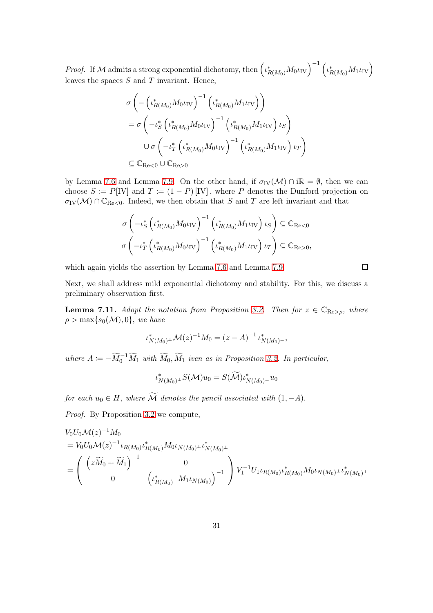*Proof.* If M admits a strong exponential dichotomy, then  $(\iota^*_{R(M_0)} M_0 \iota_{\text{IV}})^{-1} (\iota^*_{R(M_0)} M_1 \iota_{\text{IV}})$ leaves the spaces  $S$  and  $T$  invariant. Hence,

$$
\sigma \left( - \left( \iota_{R(M_0)}^* M_0 \iota_{\text{IV}} \right)^{-1} \left( \iota_{R(M_0)}^* M_1 \iota_{\text{IV}} \right) \right)
$$
  
=  $\sigma \left( - \iota_S^* \left( \iota_{R(M_0)}^* M_0 \iota_{\text{IV}} \right)^{-1} \left( \iota_{R(M_0)}^* M_1 \iota_{\text{IV}} \right) \iota_S \right)$   

$$
\cup \sigma \left( - \iota_T^* \left( \iota_{R(M_0)}^* M_0 \iota_{\text{IV}} \right)^{-1} \left( \iota_{R(M_0)}^* M_1 \iota_{\text{IV}} \right) \iota_T \right)
$$
  
 $\subseteq \mathbb{C}_{\text{Re} < 0} \cup \mathbb{C}_{\text{Re} > 0}$ 

by Lemma [7.6](#page-26-1) and Lemma [7.9.](#page-28-0) On the other hand, if  $\sigma_{IV}(\mathcal{M}) \cap i\mathbb{R} = \emptyset$ , then we can choose  $S := P[IV]$  and  $T := (1 - P)[IV]$ , where P denotes the Dunford projection on  $\sigma_{\text{IV}}(\mathcal{M}) \cap \mathbb{C}_{\text{Re}\leq 0}$ . Indeed, we then obtain that S and T are left invariant and that

$$
\sigma \left( -\iota_S^* \left( \iota_{R(M_0)}^* M_0 \iota_{\text{IV}} \right)^{-1} \left( \iota_{R(M_0)}^* M_1 \iota_{\text{IV}} \right) \iota_S \right) \subseteq \mathbb{C}_{\text{Re}<0}
$$

$$
\sigma \left( -\iota_T^* \left( \iota_{R(M_0)}^* M_0 \iota_{\text{IV}} \right)^{-1} \left( \iota_{R(M_0)}^* M_1 \iota_{\text{IV}} \right) \iota_T \right) \subseteq \mathbb{C}_{\text{Re}>0},
$$

which again yields the assertion by Lemma [7.6](#page-26-1) and Lemma [7.9.](#page-28-0)

 $\Box$ 

Next, we shall address mild exponential dichotomy and stability. For this, we discuss a preliminary observation first.

<span id="page-30-0"></span>**Lemma 7.11.** Adopt the notation from Proposition [3.2.](#page-5-0) Then for  $z \in \mathbb{C}_{\mathbb{R}e > \rho}$ , where  $\rho > \max\{s_0(\mathcal{M}), 0\}$ , we have

$$
\iota_{N(M_0)^{\perp}}^* \mathcal{M}(z)^{-1} M_0 = (z - A)^{-1} \iota_{N(M_0)^{\perp}}^*,
$$

where  $A := -\widetilde{M}_0^{-1} \widetilde{M}_1$  with  $\widetilde{M}_0, \widetilde{M}_1$  iven as in Proposition [3.2.](#page-5-0) In particular,

$$
\iota^*_{N(M_0)^\perp}S(\mathcal{M})u_0=S(\widetilde{\mathcal{M}})\iota^*_{N(M_0)^\perp}u_0
$$

for each  $u_0 \in H$ , where  $\widetilde{\mathcal{M}}$  denotes the pencil associated with  $(1, -A)$ .

Proof. By Proposition [3.2](#page-5-0) we compute,

$$
V_0 U_0 \mathcal{M}(z)^{-1} M_0
$$
  
=  $V_0 U_0 \mathcal{M}(z)^{-1} \iota_{R(M_0)} \iota_{R(M_0)}^* M_0 \iota_{N(M_0)} \iota_{N(M_0)}^* + \iota_{N(M_0)}^*$   
=  $\begin{pmatrix} \left( z \widetilde{M}_0 + \widetilde{M}_1 \right)^{-1} & 0 \\ 0 & \left( \iota_{R(M_0)}^* M_1 \iota_{N(M_0)} \right)^{-1} \end{pmatrix} V_1^{-1} U_1 \iota_{R(M_0)} \iota_{R(M_0)}^* M_0 \iota_{N(M_0)} \iota_{N(M_0)}^* + \iota_{N(M_0)}^*$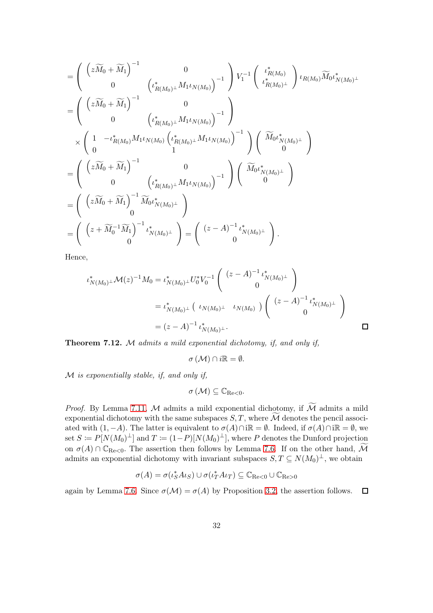$$
= \begin{pmatrix} \left(z\widetilde{M}_{0} + \widetilde{M}_{1}\right)^{-1} & 0\\ 0 & \left(\iota_{R(M_{0})}^{*} \Lambda_{1} \iota_{N(M_{0})}\right)^{-1} \end{pmatrix} V_{1}^{-1} \begin{pmatrix} \iota_{R(M_{0})}^{*} \\ \iota_{R(M_{0})}^{*} \Lambda_{0} \iota_{N(M_{0})}^{*} \\ \iota_{R(M_{0})}^{*} \end{pmatrix} \iota_{R(M_{0})} \widetilde{M}_{0} \iota_{N(M_{0})}^{*}
$$
  
\n
$$
= \begin{pmatrix} \left(z\widetilde{M}_{0} + \widetilde{M}_{1}\right)^{-1} & 0\\ 0 & \left(\iota_{R(M_{0})}^{*} M_{1} \iota_{N(M_{0})}\right)^{-1} \end{pmatrix} \begin{pmatrix} \widetilde{M}_{0} \iota_{N(M_{0})}^{*} \\ 0 \\ 0 \end{pmatrix}^{*}
$$
  
\n
$$
= \begin{pmatrix} \left(z\widetilde{M}_{0} + \widetilde{M}_{1}\right)^{-1} & 0\\ 0 & \left(\iota_{R(M_{0})}^{*} M_{1} \iota_{N(M_{0})}\right)^{-1} \end{pmatrix} \begin{pmatrix} \widetilde{M}_{0} \iota_{N(M_{0})}^{*} \\ 0 \end{pmatrix}
$$
  
\n
$$
= \begin{pmatrix} \left(z\widetilde{M}_{0} + \widetilde{M}_{1}\right)^{-1} \widetilde{M}_{0} \iota_{N(M_{0})}^{*} \\ 0 \end{pmatrix}
$$
  
\n
$$
= \begin{pmatrix} \left(z\widetilde{M}_{0} + \widetilde{M}_{1}\right)^{-1} \widetilde{M}_{0} \iota_{N(M_{0})}^{*} \\ 0 \end{pmatrix}
$$
  
\n
$$
= \begin{pmatrix} \left(z+\widetilde{M}_{0}^{-1} \widetilde{M}_{1}\right)^{-1} \iota_{N(M_{0})}^{*} \\ 0 \end{pmatrix} = \begin{pmatrix} \left(z - A\right)^{-1} \iota_{N(M_{0})}^{*} \\ 0 \end{pmatrix}.
$$

Hence,

$$
\iota_{N(M_0)^{\perp}}^* \mathcal{M}(z)^{-1} M_0 = \iota_{N(M_0)^{\perp}}^* U_0^* V_0^{-1} \begin{pmatrix} (z - A)^{-1} \iota_{N(M_0)^{\perp}}^* \\ 0 \end{pmatrix}
$$
  
=  $\iota_{N(M_0)^{\perp}}^* \left( \iota_{N(M_0)^{\perp}} \iota_{N(M_0)} \right) \begin{pmatrix} (z - A)^{-1} \iota_{N(M_0)^{\perp}}^* \\ 0 \end{pmatrix}$   
=  $(z - A)^{-1} \iota_{N(M_0)^{\perp}}^*.$ 

<span id="page-31-0"></span>Theorem 7.12. M admits a mild exponential dichotomy, if, and only if,

$$
\sigma\left( \mathcal{M}\right) \cap i\mathbb{R}=\emptyset.
$$

 $M$  is exponentially stable, if, and only if,

$$
\sigma\left( \mathcal{M}\right) \subseteq\mathbb{C}_{\mathrm{Re}<0}.
$$

*Proof.* By Lemma [7.11,](#page-30-0) M admits a mild exponential dichotomy, if  $\widetilde{\mathcal{M}}$  admits a mild exponential dichotomy with the same subspaces  $S, T$ , where  $\widetilde{\mathcal{M}}$  denotes the pencil associated with  $(1, -A)$ . The latter is equivalent to  $\sigma(A) \cap i\mathbb{R} = \emptyset$ . Indeed, if  $\sigma(A) \cap i\mathbb{R} = \emptyset$ , we set  $S \coloneqq P[N(M_0)^{\perp}]$  and  $T \coloneqq (1-P)[N(M_0)^{\perp}]$ , where P denotes the Dunford projection on  $\sigma(A) \cap \mathbb{C}_{\text{Re}\leq 0}$ . The assertion then follows by Lemma [7.6.](#page-26-1) If on the other hand,  $\widetilde{\mathcal{M}}$ admits an exponential dichotomy with invariant subspaces  $S, T \subseteq N(M_0)^{\perp}$ , we obtain

$$
\sigma(A) = \sigma(\iota_S^* A \iota_S) \cup \sigma(\iota_T^* A \iota_T) \subseteq \mathbb{C}_{\text{Re}<0} \cup \mathbb{C}_{\text{Re}>0}
$$

again by Lemma [7.6.](#page-26-1) Since  $\sigma(\mathcal{M}) = \sigma(A)$  by Proposition [3.2,](#page-5-0) the assertion follows.  $\Box$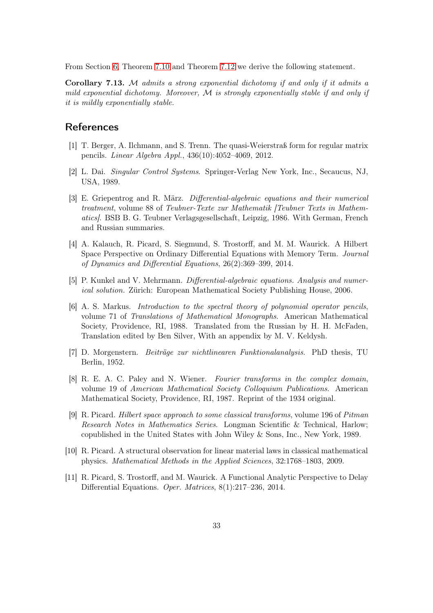From Section [6,](#page-19-0) Theorem [7.10](#page-29-0) and Theorem [7.12](#page-31-0) we derive the following statement.

Corollary 7.13. M admits a strong exponential dichotomy if and only if it admits a mild exponential dichotomy. Moreover,  $\mathcal M$  is strongly exponentially stable if and only if it is mildly exponentially stable.

## <span id="page-32-1"></span>**References**

- <span id="page-32-0"></span>[1] T. Berger, A. Ilchmann, and S. Trenn. The quasi-Weierstraß form for regular matrix pencils. Linear Algebra Appl., 436(10):4052–4069, 2012.
- <span id="page-32-4"></span>[2] L. Dai. Singular Control Systems. Springer-Verlag New York, Inc., Secaucus, NJ, USA, 1989.
- [3] E. Griepentrog and R. März. Differential-algebraic equations and their numerical treatment, volume 88 of Teubner-Texte zur Mathematik [Teubner Texts in Mathematics]. BSB B. G. Teubner Verlagsgesellschaft, Leipzig, 1986. With German, French and Russian summaries.
- <span id="page-32-5"></span>[4] A. Kalauch, R. Picard, S. Siegmund, S. Trostorff, and M. M. Waurick. A Hilbert Space Perspective on Ordinary Differential Equations with Memory Term. Journal of Dynamics and Differential Equations, 26(2):369–399, 2014.
- <span id="page-32-9"></span><span id="page-32-2"></span>[5] P. Kunkel and V. Mehrmann. Differential-algebraic equations. Analysis and numerical solution. Zürich: European Mathematical Society Publishing House, 2006.
- [6] A. S. Markus. Introduction to the spectral theory of polynomial operator pencils, volume 71 of Translations of Mathematical Monographs. American Mathematical Society, Providence, RI, 1988. Translated from the Russian by H. H. McFaden, Translation edited by Ben Silver, With an appendix by M. V. Keldysh.
- <span id="page-32-7"></span>[7] D. Morgenstern. Beiträge zur nichtlinearen Funktionalanalysis. PhD thesis, TU Berlin, 1952.
- <span id="page-32-10"></span>[8] R. E. A. C. Paley and N. Wiener. Fourier transforms in the complex domain, volume 19 of American Mathematical Society Colloquium Publications. American Mathematical Society, Providence, RI, 1987. Reprint of the 1934 original.
- <span id="page-32-6"></span>[9] R. Picard. Hilbert space approach to some classical transforms, volume 196 of Pitman Research Notes in Mathematics Series. Longman Scientific & Technical, Harlow; copublished in the United States with John Wiley & Sons, Inc., New York, 1989.
- <span id="page-32-3"></span>[10] R. Picard. A structural observation for linear material laws in classical mathematical physics. Mathematical Methods in the Applied Sciences, 32:1768–1803, 2009.
- <span id="page-32-8"></span>[11] R. Picard, S. Trostorff, and M. Waurick. A Functional Analytic Perspective to Delay Differential Equations. Oper. Matrices, 8(1):217–236, 2014.